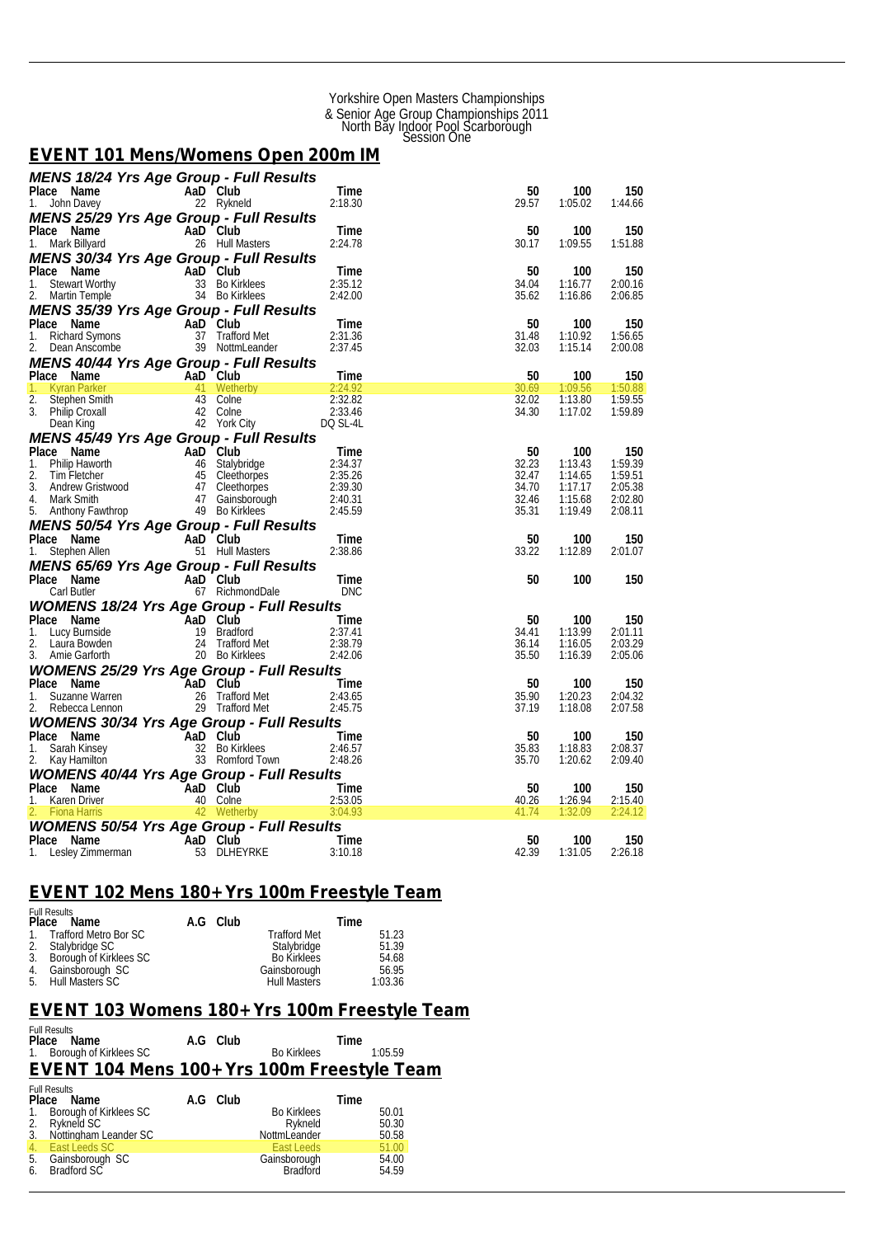#### Yorkshire Open Masters Championships & Senior Age Group Championships 2011 North Bay Indoor Pool Scarborough Session One

#### *EVENT 101 Mens/Womens Open 200m IM*

| <b>MENS 18/24 Yrs Age Group - Full Results</b>                                                                                                                                                                                                      |                            |          |                                                                                                                  |                          |                |                    |                    |
|-----------------------------------------------------------------------------------------------------------------------------------------------------------------------------------------------------------------------------------------------------|----------------------------|----------|------------------------------------------------------------------------------------------------------------------|--------------------------|----------------|--------------------|--------------------|
| Place Name                                                                                                                                                                                                                                          |                            |          | AaD Club                                                                                                         | Time                     | 50             | 100                | 150                |
| 1. John Davey                                                                                                                                                                                                                                       |                            |          | 22 Rykneld                                                                                                       | 2:18.30                  | 29.57          | 1:05.02            | 1:44.66            |
| MENS 25/29 Yrs Age Group - Full Results                                                                                                                                                                                                             |                            |          |                                                                                                                  |                          |                |                    |                    |
| Place Name                                                                                                                                                                                                                                          | an Ta                      |          | aD Club<br>26 Hull Masters<br>AaD Club                                                                           | Time                     | 50             | 100                | 150                |
| 1. Mark Billyard                                                                                                                                                                                                                                    |                            |          |                                                                                                                  | 2:24.78                  | 30.17          | 1:09.55            | 1:51.88            |
| MENS 30/34 Yrs Age Group - Full Results                                                                                                                                                                                                             |                            |          |                                                                                                                  |                          |                |                    |                    |
| Place Name<br>ace Name<br>Stewart Worthy<br>Martin Temple<br>The Control Temple                                                                                                                                                                     |                            | AaD Club |                                                                                                                  | Time                     | 50             | 100                | 150                |
| 1.                                                                                                                                                                                                                                                  |                            |          | 33 Bo Kirklees<br>34 Bo Kirklees                                                                                 | 2:35.12<br>2:42.00       | 34.04<br>35.62 | 1:16.77<br>1:16.86 | 2:00.16<br>2:06.85 |
|                                                                                                                                                                                                                                                     |                            |          |                                                                                                                  |                          |                |                    |                    |
| <b>MENS 35/39 Yrs Age Group - Full Results</b>                                                                                                                                                                                                      |                            |          | AaD Club                                                                                                         | Time                     | 50             | 100                | 150                |
|                                                                                                                                                                                                                                                     |                            |          | apple UIUD<br>37 Trafford Met<br>39 Notter                                                                       | 2:31.36                  | 31.48          | 1:10.92            | 1:56.65            |
| Place Name<br>1. Richard Symons<br>2. Dean Anscombe                                                                                                                                                                                                 |                            |          | 39 NottmLeander                                                                                                  | 2:37.45                  | 32.03          | 1:15.14            | 2:00.08            |
| <b>MENS 40/44 Yrs Age Group - Full Results</b><br>Place Name AaD Club<br>1. Kyran Parker 41 Wetherby<br>2. Stephen Smith 43 Colne 2:32.82<br>3. Philip Croxall 42 Vork City<br>Dean King<br>1. The Colne 2:33.46<br>Dean King<br>1. The Colne 2:33. |                            |          |                                                                                                                  | $\overline{\phantom{0}}$ |                |                    |                    |
|                                                                                                                                                                                                                                                     |                            |          |                                                                                                                  |                          | 50             | 100                | 150                |
|                                                                                                                                                                                                                                                     |                            |          |                                                                                                                  |                          | 30.69          | 1:09.56            | 1:50.88            |
|                                                                                                                                                                                                                                                     |                            |          |                                                                                                                  |                          | 32.02          | 1:13.80            | 1:59.55            |
|                                                                                                                                                                                                                                                     |                            |          |                                                                                                                  |                          | 34.30          | 1:17.02            | 1:59.89            |
|                                                                                                                                                                                                                                                     |                            |          |                                                                                                                  |                          |                |                    |                    |
| MENS 45/49 Yrs Age Group - Full Results                                                                                                                                                                                                             |                            |          |                                                                                                                  |                          |                |                    |                    |
|                                                                                                                                                                                                                                                     |                            |          |                                                                                                                  | Time                     | 50             | 100                | 150                |
|                                                                                                                                                                                                                                                     |                            |          |                                                                                                                  | 2:34.37                  | 32.23          | 1:13.43            | 1:59.39            |
|                                                                                                                                                                                                                                                     |                            |          |                                                                                                                  | 2:35.26<br>2:39.30       | 32.47<br>34.70 | 1:14.65<br>1:17.17 | 1:59.51<br>2:05.38 |
|                                                                                                                                                                                                                                                     |                            |          |                                                                                                                  | 2:40.31                  | 32.46          | 1:15.68            | 2:02.80            |
| Place Name Halb Club<br>1. Philip Haworth 46 Stalybridge<br>2. Tim Fletcher 45 Cleethorpes<br>3. Andrew Gristwood 47 Cleethorpes<br>4. Mark Smith 47 Gainsborough<br>5. Anthony Fawthrop                                                            |                            |          |                                                                                                                  | 2:45.59                  | 35.31          | 1:19.49            | 2:08.11            |
|                                                                                                                                                                                                                                                     |                            |          |                                                                                                                  |                          |                |                    |                    |
| <b>MENS 50/54 Yrs Age Group - Full Results</b><br>Place Name AaD Club<br>1. Stephen Allen 51 Hull Masters                                                                                                                                           |                            |          |                                                                                                                  | Time                     | 50             | 100                | 150                |
|                                                                                                                                                                                                                                                     |                            |          |                                                                                                                  | 2:38.86                  | 33.22          | 1:12.89            | 2:01.07            |
| <b>MENS 65/69 Yrs Age Group - Full Results</b>                                                                                                                                                                                                      |                            |          |                                                                                                                  |                          |                |                    |                    |
| Place Name                                                                                                                                                                                                                                          | $\mathcal{L}(\mathcal{L})$ |          | AaD Club                                                                                                         | <b>IDale</b><br>Time     | 50             | 100                | 150                |
| Carl Butler                                                                                                                                                                                                                                         |                            |          | 67 RichmondDale                                                                                                  | <b>DNC</b>               |                |                    |                    |
| <b>WOMENS 18/24 Yrs Age Group - Full Results</b>                                                                                                                                                                                                    |                            |          |                                                                                                                  |                          |                |                    |                    |
| Place Name                                                                                                                                                                                                                                          |                            |          | Frace Name AaD Club<br>Lucy Burnside 19 Bradford<br>Laura Bowden 24 Trafford Met<br>Amie Garforth 20 Bo Kirklees | Time                     | 50             | 100                | 150                |
| 1.                                                                                                                                                                                                                                                  |                            |          |                                                                                                                  | 2:37.41                  | 34.41          | 1:13.99            | 2:01.11            |
| 2.                                                                                                                                                                                                                                                  |                            |          |                                                                                                                  | 2:38.79                  | 36.14          | 1:16.05            | 2:03.29            |
| 3. Amie Garforth                                                                                                                                                                                                                                    |                            |          |                                                                                                                  | 2:42.06                  | 35.50          | 1:16.39            | 2:05.06            |
| <b>WOMENS 25/29 Yrs Age Group - Full Results<br/> Place Name AaD Club Time<br/> 1. Suzanne Warren 26 Trafford Met 2:43.65<br/> 2. Rebecca Lennon 29 Trafford Met 2:45.75</b>                                                                        |                            |          |                                                                                                                  |                          |                |                    |                    |
|                                                                                                                                                                                                                                                     |                            |          |                                                                                                                  |                          | 50             | 100                | 150                |
|                                                                                                                                                                                                                                                     |                            |          |                                                                                                                  |                          | 35.90          | 1:20.23            | 2:04.32            |
|                                                                                                                                                                                                                                                     |                            |          |                                                                                                                  |                          | 37.19          | 1:18.08            | 2:07.58            |
| <b>WOMENS 30/34 Yrs Age Group - Full Results</b>                                                                                                                                                                                                    |                            |          |                                                                                                                  |                          |                |                    |                    |
| Place Name<br>1.                                                                                                                                                                                                                                    |                            |          |                                                                                                                  | Time<br>2:46.57          | 50<br>35.83    | 100<br>1:18.83     | 150<br>2:08.37     |
| Sarah Kinsey<br>2.<br>Kay Hamilton                                                                                                                                                                                                                  |                            |          | AaD Club<br>32 Bo Kirklees<br>33 Romford Town                                                                    | 2:48.26                  | 35.70          | 1:20.62            | 2:09.40            |
| <b>WOMENS 40/44 Yrs Age Group - Full Results</b>                                                                                                                                                                                                    |                            |          |                                                                                                                  |                          |                |                    |                    |
| Place Name                                                                                                                                                                                                                                          |                            |          |                                                                                                                  | Time                     | 50             | 100                | 150                |
| Karen Driver<br>1.                                                                                                                                                                                                                                  |                            |          |                                                                                                                  | 2:53.05                  | 40.26          | 1:26.94            | 2:15.40            |
| <b>Fiona Harris</b>                                                                                                                                                                                                                                 |                            |          | AaD Club<br>40 Colne<br>42 Wetherby                                                                              | 3:04.93                  | 41.74          | 1:32.09            | 2:24.12            |
| <b>WOMENS 50/54 Yrs Age Group - Full Results</b>                                                                                                                                                                                                    |                            |          |                                                                                                                  |                          |                |                    |                    |
|                                                                                                                                                                                                                                                     |                            |          |                                                                                                                  | Time                     | 50             | 100                | 150                |
| Prace Name<br>1. Lesley Zimmerman 53 DLHE                                                                                                                                                                                                           |                            |          | 53 DLHEYRKE                                                                                                      | 3:10.18                  | 42.39          | 1:31.05            | 2:26.18            |

#### *EVENT 102 Mens 180+ Yrs 100m Freestyle Team*

| <b>Full Results</b>       |          |                     |         |
|---------------------------|----------|---------------------|---------|
| Place Name                | A.G Club |                     | Time    |
| 1. Trafford Metro Bor SC  |          | <b>Trafford Met</b> | 51.23   |
| 2. Stalybridge SC         |          | Stalybridge         | 51.39   |
| 3. Borough of Kirklees SC |          | Bo Kirklees         | 54.68   |
| 4. Gainsborough SC        |          | Gainsborough        | 56.95   |
| 5. Hull Masters SC        |          | <b>Hull Masters</b> | 1:03.36 |

#### *EVENT 103 Womens 180+ Yrs 100m Freestyle Team*  Full Results

|          | T UIL NESUITS<br>Place Name                        | A.G Club |                                 | Time |                |
|----------|----------------------------------------------------|----------|---------------------------------|------|----------------|
| 1.       | Borough of Kirklees SC                             |          | <b>Bo Kirklees</b>              |      | 1:05.59        |
|          | <b>EVENT 104 Mens 100+ Yrs 100m Freestyle Team</b> |          |                                 |      |                |
| Place    | <b>Full Results</b><br>Name                        | A.G Club |                                 | Time |                |
|          | 1. Borough of Kirklees SC                          |          | <b>Bo Kirklees</b><br>Rykneld   |      | 50.01<br>50.30 |
|          | 2. Rykneld SC<br>3. Nottingham Leander SC          |          | NottmLeander                    |      | 50.58          |
| 4.1      | East Leeds SC                                      |          | East Leeds                      |      | 51.00          |
| 5.<br>6. | Gainsborough SC<br>Bradford SC                     |          | Gainsborough<br><b>Bradford</b> |      | 54.00<br>54.59 |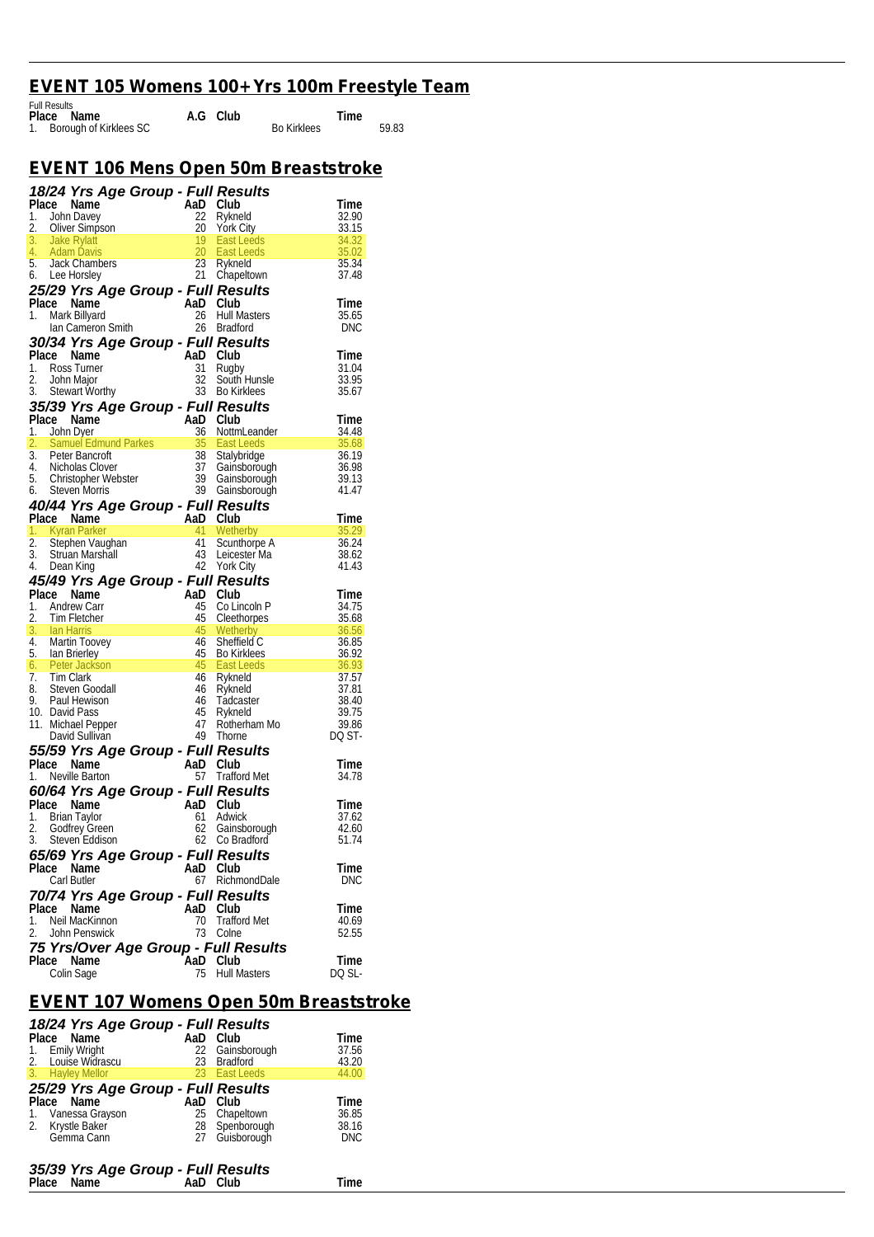#### *EVENT 105 Womens 100+ Yrs 100m Freestyle Team*  Full Results

| FUIL Results              |          |                    |       |
|---------------------------|----------|--------------------|-------|
| Place Name                | A.G Club | Time               |       |
| 1. Borough of Kirklees SC |          | <b>Bo Kirklees</b> | 59.83 |

### *EVENT 106 Mens Open 50m Breaststroke*

|    |                              | <b>18/24 Yrs Age Group - Full Results</b><br>Place Name AaD Club Time<br>1. John Davey 22 Rykneld 32.90<br>2. Oliver Simpson 20 York City<br>3. Jake Rylatt 19 East Leeds 34.32<br>4. Adam Davis 20 East Leeds 35.02<br>5. Jack Chambers 23 Ryk        |                                          |                    |
|----|------------------------------|--------------------------------------------------------------------------------------------------------------------------------------------------------------------------------------------------------------------------------------------------------|------------------------------------------|--------------------|
|    |                              |                                                                                                                                                                                                                                                        |                                          |                    |
|    |                              |                                                                                                                                                                                                                                                        |                                          |                    |
|    |                              |                                                                                                                                                                                                                                                        |                                          |                    |
|    |                              |                                                                                                                                                                                                                                                        |                                          |                    |
|    |                              |                                                                                                                                                                                                                                                        |                                          |                    |
|    |                              | 25/29 Yrs Age Group - Full Results                                                                                                                                                                                                                     |                                          |                    |
|    | Place Name                   | ce Name<br>Mark Billyard <b>AaD</b> Club<br>Ian Cameron Smith 26 Bradfo                                                                                                                                                                                |                                          | Time               |
| 1. |                              |                                                                                                                                                                                                                                                        | Hull Masters                             | 35.65              |
|    |                              |                                                                                                                                                                                                                                                        | 26 Bradford                              | DNC                |
|    |                              | an Carneton State<br><b>30/34 Yrs Age Group - Full Results</b><br>Place Name<br>1. Ross Turner<br>2. John Major<br>2. John Major<br>2. South Hunsle                                                                                                    |                                          | Time               |
|    |                              |                                                                                                                                                                                                                                                        |                                          | 31.04              |
|    |                              |                                                                                                                                                                                                                                                        |                                          | $33.95$<br>$35.67$ |
|    |                              | Place Name<br>1. Ross Turner<br>2. John Major<br>3. Stewart Worthy<br>3. Stewart Worthy<br>3. Stewart Worthy<br>3. Bo Kirklees                                                                                                                         |                                          | 35.67              |
|    |                              |                                                                                                                                                                                                                                                        |                                          |                    |
|    |                              |                                                                                                                                                                                                                                                        |                                          |                    |
|    |                              | 3. State State Group - Full Results<br>Place Manne 1. John Dyer<br>1. John Dyer and Club Time<br>2. Samuel Edmund Parkes 35 East Leeds<br>3. Peter Bancroft 38 Stalybridge 36.19<br>4. Nicholas Clover 37 Gainsborough<br>6. Christopher W             |                                          |                    |
|    |                              |                                                                                                                                                                                                                                                        |                                          |                    |
|    |                              |                                                                                                                                                                                                                                                        |                                          |                    |
|    |                              |                                                                                                                                                                                                                                                        |                                          |                    |
|    |                              |                                                                                                                                                                                                                                                        |                                          |                    |
|    |                              | <b>40/44 Yrs Age Group - Full Results<br/> Place Name AaD Club Time<br/> 1. Kyran Parker 41 Wetherby 35.29<br/> 2. Stephen Vaughan 41 Scunthorpe A 36.24<br/> 3. Struan Marshall 43 Leicester Ma 38.62<br/> 4. Dean King 42 York City 41.43</b>        |                                          |                    |
|    |                              |                                                                                                                                                                                                                                                        |                                          |                    |
|    |                              |                                                                                                                                                                                                                                                        |                                          |                    |
|    |                              |                                                                                                                                                                                                                                                        |                                          |                    |
|    |                              |                                                                                                                                                                                                                                                        |                                          |                    |
|    |                              |                                                                                                                                                                                                                                                        |                                          |                    |
|    |                              |                                                                                                                                                                                                                                                        |                                          |                    |
|    |                              |                                                                                                                                                                                                                                                        |                                          |                    |
|    |                              |                                                                                                                                                                                                                                                        |                                          |                    |
|    |                              |                                                                                                                                                                                                                                                        |                                          |                    |
|    |                              |                                                                                                                                                                                                                                                        |                                          |                    |
|    |                              |                                                                                                                                                                                                                                                        |                                          |                    |
|    |                              |                                                                                                                                                                                                                                                        |                                          |                    |
|    |                              |                                                                                                                                                                                                                                                        |                                          |                    |
|    |                              |                                                                                                                                                                                                                                                        |                                          |                    |
|    |                              |                                                                                                                                                                                                                                                        |                                          |                    |
|    |                              |                                                                                                                                                                                                                                                        |                                          |                    |
|    |                              |                                                                                                                                                                                                                                                        |                                          |                    |
|    |                              | 3. Situali Matshan<br><b>42</b> York City<br><b>45/49 Yrs Age Group - Full Results</b><br>1. Andrew Carr and Club<br>1. Andrew Carr a 45 Coluncol P 34.75<br>2. Tim Fletcher a 45 Coluncol P 35.68<br>3. Ian Harris 45 Wetherby 36.56<br>4. Martin Too |                                          |                    |
|    |                              |                                                                                                                                                                                                                                                        |                                          | l ime              |
|    |                              | <b>55/59 Yrs Age Group - Full Results<br/>Place Name AaD Club<br/>1. Neville Barton 67 Trafford Met</b>                                                                                                                                                | 57 Trafford Met                          | 34.78              |
|    | Place Name                   | 60/64 Yrs Age Group - Full Results                                                                                                                                                                                                                     |                                          | Time               |
| 1. |                              |                                                                                                                                                                                                                                                        |                                          | 37.62              |
| 2. |                              |                                                                                                                                                                                                                                                        |                                          | 42.60              |
|    | 3. Steven Eddison            | Ce Name<br>Brian Taylor <b>AD Club</b><br>Brian Taylor 61 Adwic<br>Godfrey Green 62 Gains<br>Steven Eddison 62 Co. Pr                                                                                                                                  | Adwick<br>Gainsborough<br>62 Co Bradford | 51.74              |
|    |                              | 65/69 Yrs Age Group - Full Results                                                                                                                                                                                                                     |                                          |                    |
|    | Place Name                   | AaD                                                                                                                                                                                                                                                    | Club                                     | Time               |
|    | Carl Butler                  |                                                                                                                                                                                                                                                        | 67 RichmondDale                          | <b>DNC</b>         |
|    |                              | 70/74 Yrs Age Group - Full Results                                                                                                                                                                                                                     |                                          |                    |
| 1. | Place Name<br>Neil MacKinnon | AaD<br>70                                                                                                                                                                                                                                              | Club<br><b>Trafford Met</b>              | Time<br>40.69      |
| 2. | John Penswick                | 73                                                                                                                                                                                                                                                     | Colne                                    | 52.55              |
|    |                              | 75 Yrs/Over Age Group - Full Results                                                                                                                                                                                                                   |                                          |                    |
|    | Place Name<br>Colin Sage     | AaD Club<br>75                                                                                                                                                                                                                                         | <b>Hull Masters</b>                      | Time<br>DQ SL-     |

### *EVENT 107 Womens Open 50m Breaststroke*

| 18/24 Yrs Age Group - Full Results |     |                 |            |  |
|------------------------------------|-----|-----------------|------------|--|
| Place Name                         | AaD | Club            | Time       |  |
| 1. Emily Wright                    |     | 22 Gainsborough | 37.56      |  |
| 2. Louise Widrascu                 |     | 23 Bradford     | 43.20      |  |
| 3. Hayley Mellor                   |     | 23 East Leeds   | 44.00      |  |
| 25/29 Yrs Age Group - Full Results |     |                 |            |  |
|                                    |     |                 |            |  |
| Place Name                         | AaD | Club            | Time       |  |
|                                    |     | 25 Chapeltown   | 36.85      |  |
| 1. Vanessa Grayson                 |     | 28 Spenborough  | 38.16      |  |
| 2. Krystle Baker<br>Gémma Cann     |     | 27 Guisborough  | <b>DNC</b> |  |
|                                    |     |                 |            |  |

#### *35/39 Yrs Age Group - Full Results*  **Place Name AaD Club Time**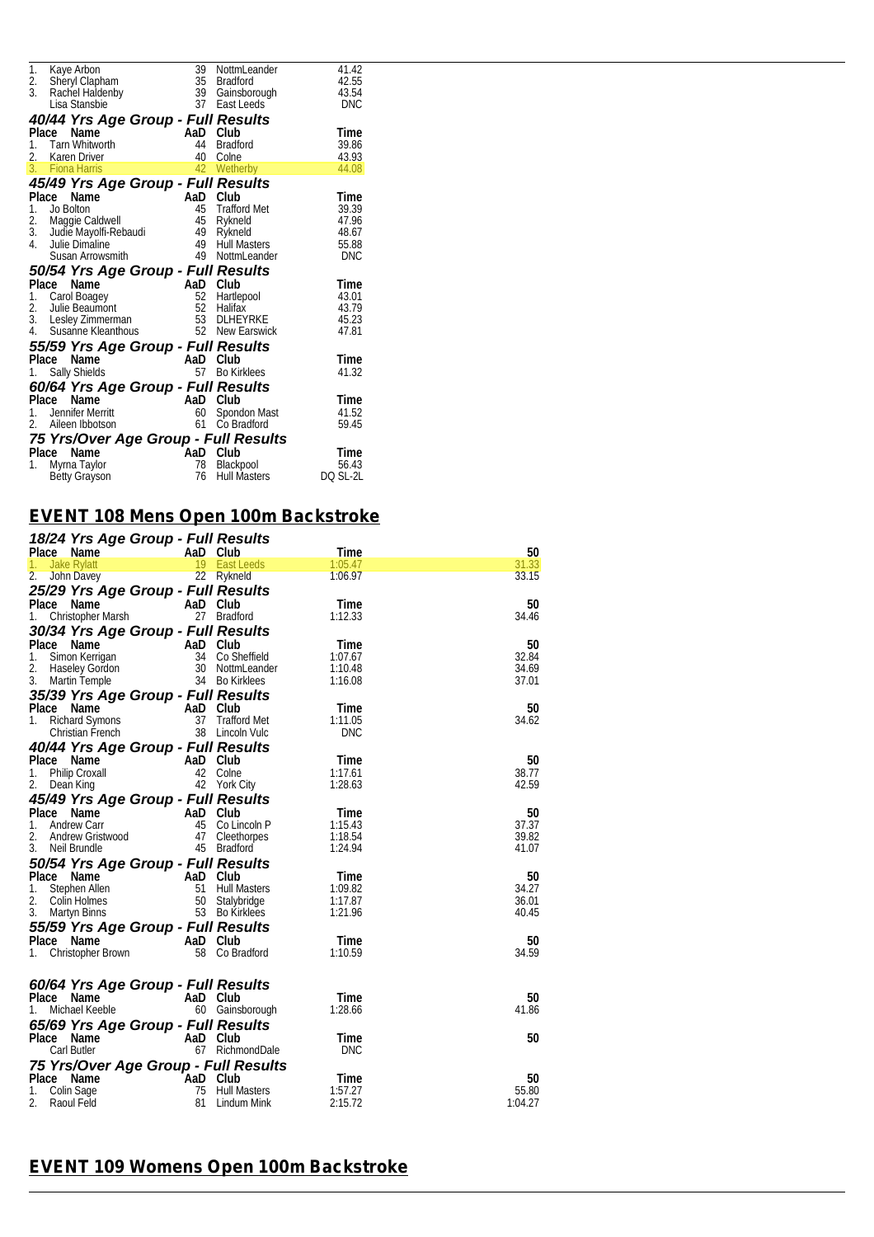| 1.      | Kaye Arbon 39<br>Sheryl Clapham 35<br>Rachel Haldenby 39                                                                                                                                                 |          | NottmLeander          | 41.42      |  |
|---------|----------------------------------------------------------------------------------------------------------------------------------------------------------------------------------------------------------|----------|-----------------------|------------|--|
| 2.      |                                                                                                                                                                                                          |          | Bradford              | 42.55      |  |
| 3.      |                                                                                                                                                                                                          |          | Gainsborough 43.54    |            |  |
|         | Lisa Stansbie                                                                                                                                                                                            | 37       | East Leeds            | <b>DNC</b> |  |
|         | 40/44 Yrs Age Group - Full Results                                                                                                                                                                       |          |                       |            |  |
| Place   | Name                                                                                                                                                                                                     |          | Club                  | Time       |  |
| $1_{-}$ | $\begin{array}{cc}\n & \text{AaD} \\  & 44\n\end{array}$<br>Tarn Whitworth                                                                                                                               |          | <b>Bradford</b>       | 39.86      |  |
| 2.      | Karen Driver                                                                                                                                                                                             | 40       | Colne                 | 43.93      |  |
| 3.      | <b>Fiona Harris</b>                                                                                                                                                                                      | 42       | Wetherby              | 44.08      |  |
|         | 45/49 Yrs Age Group - Full Results                                                                                                                                                                       |          |                       |            |  |
| Place   |                                                                                                                                                                                                          |          |                       | Time       |  |
| 1.      |                                                                                                                                                                                                          |          |                       | 39.39      |  |
| 2.      |                                                                                                                                                                                                          |          |                       | 47.96      |  |
| 3.      |                                                                                                                                                                                                          |          |                       | 48.67      |  |
| 4.      |                                                                                                                                                                                                          |          |                       | 55.88      |  |
|         | ace Name<br>Jo Bolton<br>Maggie Caldwell<br>Judie Maggie Caldwell<br>Judie Maggie Caldwell<br>19 Rykneld<br>Julie Dimaline<br>Susan Arrowsmith<br>19 Null Masters<br>Susan Arrowsmith<br>19 Null Masters |          |                       | DNC        |  |
|         |                                                                                                                                                                                                          |          |                       |            |  |
|         | 50/54 Yrs Age Group - Full Results<br>Place                                                                                                                                                              |          |                       | Time       |  |
| 1.      |                                                                                                                                                                                                          |          |                       | 43.01      |  |
| 2.      |                                                                                                                                                                                                          |          | Hartlepool<br>Halifax | 43.79      |  |
| 3.      |                                                                                                                                                                                                          |          | 53 DLHEYRKE           | 45.23      |  |
| 4.      | ace Name Table Carol Boagey<br>Julie Beaumont 52 Hartley<br>Lesley Zimmerman 52 Halifax<br>Susanne Kleanthous 53 DLHE<br>Susanne Kleanthous<br>Susanne Kleanthous                                        |          | 52 New Earswick       | 47.81      |  |
|         |                                                                                                                                                                                                          |          |                       |            |  |
|         | 55/59 Yrs Age Group - Full Results                                                                                                                                                                       |          |                       |            |  |
|         | Name<br>Place                                                                                                                                                                                            | AaD Club |                       | Time       |  |
| 1.      | Sally Shields                                                                                                                                                                                            |          | 57 Bo Kirklees        | 41.32      |  |
|         | 60/64 Yrs Age Group - Full Results                                                                                                                                                                       |          |                       |            |  |
|         | Place<br>Se Name<br>Jennifer Merritt                                                                                                                                                                     | AaD Club |                       | Time       |  |
| 1.      |                                                                                                                                                                                                          |          | 60 Spondon Mast       | 41.52      |  |
| 2.      | Aileen Ibbotson                                                                                                                                                                                          | 61       | Co Bradford           | 59.45      |  |
|         | 75 Yrs/Over Age Group - Full Results                                                                                                                                                                     |          |                       |            |  |
|         | Place<br>Name                                                                                                                                                                                            | AaD Club |                       | Time       |  |
| 1.      | Myrna Taylor                                                                                                                                                                                             | 78       | Blackpool             | 56.43      |  |
|         | <b>Betty Grayson</b>                                                                                                                                                                                     | 76       | Hull Masters          | DQ SL-2L   |  |
|         |                                                                                                                                                                                                          |          |                       |            |  |

## *EVENT 108 Mens Open 100m Backstroke*

| Place Name<br>AaD Club<br>Time<br>50<br><b>Jake Rylatt</b><br>19 East Leeds<br>1:05.47<br>1.<br>22 Rykneld<br>2.<br>1:06.97<br>33.15<br>John Davey<br>25/29 Yrs Age Group - Full Results<br>Place<br>Name<br>AaD Club<br>Time<br>27 Bradford<br>1.<br>Christopher Marsh<br>1:12.33<br>30/34 Yrs Age Group - Full Results<br>Place Name<br>50<br>AaD Club<br>Time<br>32.84<br>Simon Kerrigan<br>34 Co Sheffield<br>1.<br>1:07.67<br>Haseley Gordon<br>2.<br>30 NottmLeander<br>1:10.48<br>34.69<br>3.<br>34 Bo Kirklees<br>37.01<br>Martin Temple<br>1:16.08<br>35/39 Yrs Age Group - Full Results<br>Place Name<br>AaD<br>Club<br>50<br>Time<br>Richard Symons<br>37<br><b>Trafford Met</b><br>1:11.05<br>34.62<br>1.<br>38 Lincoln Vulc<br>Christian French<br>DNC<br>40/44 Yrs Age Group - Full Results<br>Place Name<br>AaD Club<br>50<br>Time<br>Philip Croxall<br>42<br>Colne<br>1:17.61<br>38.77<br>1.<br>42 York City<br>42.59<br>2.<br>1:28.63<br>Dean King<br>45/49 Yrs Age Group - Full Results<br>Place<br>$\overline{A}$ AaD<br>Name<br>Club<br>Time<br>50<br>37.37<br>1.<br>Andrew Carr<br>45<br>Co Lincoln P<br>1:15.43<br>47<br>39.82<br>2.<br>Andrew Gristwood<br>Cleethorpes<br>1:18.54<br>3.<br>Neil Brundle<br>45 Bradford<br>1:24.94<br>41.07<br>50/54 Yrs Age Group - Full Results<br>Place Name<br>AaD<br>50<br>- Club<br>Time<br>51<br><b>Hull Masters</b><br>1:09.82<br>1.<br>Stephen Allen<br>50 Stalybridge<br>2.<br>1:17.87<br>36.01<br>Colin Holmes<br>3.<br>53 Bo Kirklees<br>1:21.96<br>40.45<br>Martyn Binns<br>55/59 Yrs Age Group - Full Results<br>Place Name<br>AaD Club<br>Time<br>58 Co Bradford<br>1:10.59<br>Christopher Brown<br>1. | 18/24 Yrs Age Group - Full Results |  |       |
|-----------------------------------------------------------------------------------------------------------------------------------------------------------------------------------------------------------------------------------------------------------------------------------------------------------------------------------------------------------------------------------------------------------------------------------------------------------------------------------------------------------------------------------------------------------------------------------------------------------------------------------------------------------------------------------------------------------------------------------------------------------------------------------------------------------------------------------------------------------------------------------------------------------------------------------------------------------------------------------------------------------------------------------------------------------------------------------------------------------------------------------------------------------------------------------------------------------------------------------------------------------------------------------------------------------------------------------------------------------------------------------------------------------------------------------------------------------------------------------------------------------------------------------------------------------------------------------------------------------------------------------------------------------------------------|------------------------------------|--|-------|
|                                                                                                                                                                                                                                                                                                                                                                                                                                                                                                                                                                                                                                                                                                                                                                                                                                                                                                                                                                                                                                                                                                                                                                                                                                                                                                                                                                                                                                                                                                                                                                                                                                                                             |                                    |  |       |
|                                                                                                                                                                                                                                                                                                                                                                                                                                                                                                                                                                                                                                                                                                                                                                                                                                                                                                                                                                                                                                                                                                                                                                                                                                                                                                                                                                                                                                                                                                                                                                                                                                                                             |                                    |  | 31.33 |
|                                                                                                                                                                                                                                                                                                                                                                                                                                                                                                                                                                                                                                                                                                                                                                                                                                                                                                                                                                                                                                                                                                                                                                                                                                                                                                                                                                                                                                                                                                                                                                                                                                                                             |                                    |  |       |
|                                                                                                                                                                                                                                                                                                                                                                                                                                                                                                                                                                                                                                                                                                                                                                                                                                                                                                                                                                                                                                                                                                                                                                                                                                                                                                                                                                                                                                                                                                                                                                                                                                                                             |                                    |  |       |
|                                                                                                                                                                                                                                                                                                                                                                                                                                                                                                                                                                                                                                                                                                                                                                                                                                                                                                                                                                                                                                                                                                                                                                                                                                                                                                                                                                                                                                                                                                                                                                                                                                                                             |                                    |  | 50    |
|                                                                                                                                                                                                                                                                                                                                                                                                                                                                                                                                                                                                                                                                                                                                                                                                                                                                                                                                                                                                                                                                                                                                                                                                                                                                                                                                                                                                                                                                                                                                                                                                                                                                             |                                    |  | 34.46 |
|                                                                                                                                                                                                                                                                                                                                                                                                                                                                                                                                                                                                                                                                                                                                                                                                                                                                                                                                                                                                                                                                                                                                                                                                                                                                                                                                                                                                                                                                                                                                                                                                                                                                             |                                    |  |       |
|                                                                                                                                                                                                                                                                                                                                                                                                                                                                                                                                                                                                                                                                                                                                                                                                                                                                                                                                                                                                                                                                                                                                                                                                                                                                                                                                                                                                                                                                                                                                                                                                                                                                             |                                    |  |       |
|                                                                                                                                                                                                                                                                                                                                                                                                                                                                                                                                                                                                                                                                                                                                                                                                                                                                                                                                                                                                                                                                                                                                                                                                                                                                                                                                                                                                                                                                                                                                                                                                                                                                             |                                    |  |       |
|                                                                                                                                                                                                                                                                                                                                                                                                                                                                                                                                                                                                                                                                                                                                                                                                                                                                                                                                                                                                                                                                                                                                                                                                                                                                                                                                                                                                                                                                                                                                                                                                                                                                             |                                    |  |       |
|                                                                                                                                                                                                                                                                                                                                                                                                                                                                                                                                                                                                                                                                                                                                                                                                                                                                                                                                                                                                                                                                                                                                                                                                                                                                                                                                                                                                                                                                                                                                                                                                                                                                             |                                    |  |       |
|                                                                                                                                                                                                                                                                                                                                                                                                                                                                                                                                                                                                                                                                                                                                                                                                                                                                                                                                                                                                                                                                                                                                                                                                                                                                                                                                                                                                                                                                                                                                                                                                                                                                             |                                    |  |       |
|                                                                                                                                                                                                                                                                                                                                                                                                                                                                                                                                                                                                                                                                                                                                                                                                                                                                                                                                                                                                                                                                                                                                                                                                                                                                                                                                                                                                                                                                                                                                                                                                                                                                             |                                    |  |       |
|                                                                                                                                                                                                                                                                                                                                                                                                                                                                                                                                                                                                                                                                                                                                                                                                                                                                                                                                                                                                                                                                                                                                                                                                                                                                                                                                                                                                                                                                                                                                                                                                                                                                             |                                    |  |       |
|                                                                                                                                                                                                                                                                                                                                                                                                                                                                                                                                                                                                                                                                                                                                                                                                                                                                                                                                                                                                                                                                                                                                                                                                                                                                                                                                                                                                                                                                                                                                                                                                                                                                             |                                    |  |       |
|                                                                                                                                                                                                                                                                                                                                                                                                                                                                                                                                                                                                                                                                                                                                                                                                                                                                                                                                                                                                                                                                                                                                                                                                                                                                                                                                                                                                                                                                                                                                                                                                                                                                             |                                    |  |       |
|                                                                                                                                                                                                                                                                                                                                                                                                                                                                                                                                                                                                                                                                                                                                                                                                                                                                                                                                                                                                                                                                                                                                                                                                                                                                                                                                                                                                                                                                                                                                                                                                                                                                             |                                    |  |       |
|                                                                                                                                                                                                                                                                                                                                                                                                                                                                                                                                                                                                                                                                                                                                                                                                                                                                                                                                                                                                                                                                                                                                                                                                                                                                                                                                                                                                                                                                                                                                                                                                                                                                             |                                    |  |       |
|                                                                                                                                                                                                                                                                                                                                                                                                                                                                                                                                                                                                                                                                                                                                                                                                                                                                                                                                                                                                                                                                                                                                                                                                                                                                                                                                                                                                                                                                                                                                                                                                                                                                             |                                    |  |       |
|                                                                                                                                                                                                                                                                                                                                                                                                                                                                                                                                                                                                                                                                                                                                                                                                                                                                                                                                                                                                                                                                                                                                                                                                                                                                                                                                                                                                                                                                                                                                                                                                                                                                             |                                    |  |       |
|                                                                                                                                                                                                                                                                                                                                                                                                                                                                                                                                                                                                                                                                                                                                                                                                                                                                                                                                                                                                                                                                                                                                                                                                                                                                                                                                                                                                                                                                                                                                                                                                                                                                             |                                    |  |       |
|                                                                                                                                                                                                                                                                                                                                                                                                                                                                                                                                                                                                                                                                                                                                                                                                                                                                                                                                                                                                                                                                                                                                                                                                                                                                                                                                                                                                                                                                                                                                                                                                                                                                             |                                    |  |       |
|                                                                                                                                                                                                                                                                                                                                                                                                                                                                                                                                                                                                                                                                                                                                                                                                                                                                                                                                                                                                                                                                                                                                                                                                                                                                                                                                                                                                                                                                                                                                                                                                                                                                             |                                    |  |       |
|                                                                                                                                                                                                                                                                                                                                                                                                                                                                                                                                                                                                                                                                                                                                                                                                                                                                                                                                                                                                                                                                                                                                                                                                                                                                                                                                                                                                                                                                                                                                                                                                                                                                             |                                    |  |       |
|                                                                                                                                                                                                                                                                                                                                                                                                                                                                                                                                                                                                                                                                                                                                                                                                                                                                                                                                                                                                                                                                                                                                                                                                                                                                                                                                                                                                                                                                                                                                                                                                                                                                             |                                    |  |       |
|                                                                                                                                                                                                                                                                                                                                                                                                                                                                                                                                                                                                                                                                                                                                                                                                                                                                                                                                                                                                                                                                                                                                                                                                                                                                                                                                                                                                                                                                                                                                                                                                                                                                             |                                    |  |       |
|                                                                                                                                                                                                                                                                                                                                                                                                                                                                                                                                                                                                                                                                                                                                                                                                                                                                                                                                                                                                                                                                                                                                                                                                                                                                                                                                                                                                                                                                                                                                                                                                                                                                             |                                    |  |       |
|                                                                                                                                                                                                                                                                                                                                                                                                                                                                                                                                                                                                                                                                                                                                                                                                                                                                                                                                                                                                                                                                                                                                                                                                                                                                                                                                                                                                                                                                                                                                                                                                                                                                             |                                    |  | 34.27 |
|                                                                                                                                                                                                                                                                                                                                                                                                                                                                                                                                                                                                                                                                                                                                                                                                                                                                                                                                                                                                                                                                                                                                                                                                                                                                                                                                                                                                                                                                                                                                                                                                                                                                             |                                    |  |       |
|                                                                                                                                                                                                                                                                                                                                                                                                                                                                                                                                                                                                                                                                                                                                                                                                                                                                                                                                                                                                                                                                                                                                                                                                                                                                                                                                                                                                                                                                                                                                                                                                                                                                             |                                    |  |       |
|                                                                                                                                                                                                                                                                                                                                                                                                                                                                                                                                                                                                                                                                                                                                                                                                                                                                                                                                                                                                                                                                                                                                                                                                                                                                                                                                                                                                                                                                                                                                                                                                                                                                             |                                    |  |       |
|                                                                                                                                                                                                                                                                                                                                                                                                                                                                                                                                                                                                                                                                                                                                                                                                                                                                                                                                                                                                                                                                                                                                                                                                                                                                                                                                                                                                                                                                                                                                                                                                                                                                             |                                    |  | 50    |
|                                                                                                                                                                                                                                                                                                                                                                                                                                                                                                                                                                                                                                                                                                                                                                                                                                                                                                                                                                                                                                                                                                                                                                                                                                                                                                                                                                                                                                                                                                                                                                                                                                                                             |                                    |  | 34.59 |
|                                                                                                                                                                                                                                                                                                                                                                                                                                                                                                                                                                                                                                                                                                                                                                                                                                                                                                                                                                                                                                                                                                                                                                                                                                                                                                                                                                                                                                                                                                                                                                                                                                                                             |                                    |  |       |
|                                                                                                                                                                                                                                                                                                                                                                                                                                                                                                                                                                                                                                                                                                                                                                                                                                                                                                                                                                                                                                                                                                                                                                                                                                                                                                                                                                                                                                                                                                                                                                                                                                                                             |                                    |  |       |
| 60/64 Yrs Age Group - Full Results                                                                                                                                                                                                                                                                                                                                                                                                                                                                                                                                                                                                                                                                                                                                                                                                                                                                                                                                                                                                                                                                                                                                                                                                                                                                                                                                                                                                                                                                                                                                                                                                                                          |                                    |  |       |
| Place<br>AaD Club<br>Time<br>Name                                                                                                                                                                                                                                                                                                                                                                                                                                                                                                                                                                                                                                                                                                                                                                                                                                                                                                                                                                                                                                                                                                                                                                                                                                                                                                                                                                                                                                                                                                                                                                                                                                           |                                    |  | 50    |
| Michael Keeble<br>1:28.66<br>1.<br>60 Gainsborough                                                                                                                                                                                                                                                                                                                                                                                                                                                                                                                                                                                                                                                                                                                                                                                                                                                                                                                                                                                                                                                                                                                                                                                                                                                                                                                                                                                                                                                                                                                                                                                                                          |                                    |  | 41.86 |
| 65/69 Yrs Age Group - Full Results                                                                                                                                                                                                                                                                                                                                                                                                                                                                                                                                                                                                                                                                                                                                                                                                                                                                                                                                                                                                                                                                                                                                                                                                                                                                                                                                                                                                                                                                                                                                                                                                                                          |                                    |  |       |
| 50<br>AaD Club<br>Place<br>Name<br>Time                                                                                                                                                                                                                                                                                                                                                                                                                                                                                                                                                                                                                                                                                                                                                                                                                                                                                                                                                                                                                                                                                                                                                                                                                                                                                                                                                                                                                                                                                                                                                                                                                                     |                                    |  |       |
| Carl Butler<br>67 RichmondDale<br><b>DNC</b>                                                                                                                                                                                                                                                                                                                                                                                                                                                                                                                                                                                                                                                                                                                                                                                                                                                                                                                                                                                                                                                                                                                                                                                                                                                                                                                                                                                                                                                                                                                                                                                                                                |                                    |  |       |
| 75 Yrs/Over Age Group - Full Results                                                                                                                                                                                                                                                                                                                                                                                                                                                                                                                                                                                                                                                                                                                                                                                                                                                                                                                                                                                                                                                                                                                                                                                                                                                                                                                                                                                                                                                                                                                                                                                                                                        |                                    |  |       |
| Place Name<br>AaD<br>Club<br>50<br>Time                                                                                                                                                                                                                                                                                                                                                                                                                                                                                                                                                                                                                                                                                                                                                                                                                                                                                                                                                                                                                                                                                                                                                                                                                                                                                                                                                                                                                                                                                                                                                                                                                                     |                                    |  |       |
| 55.80<br><b>Hull Masters</b><br>1:57.27<br>1.<br>Colin Sage<br>75                                                                                                                                                                                                                                                                                                                                                                                                                                                                                                                                                                                                                                                                                                                                                                                                                                                                                                                                                                                                                                                                                                                                                                                                                                                                                                                                                                                                                                                                                                                                                                                                           |                                    |  |       |
| 2.<br>1:04.27<br>Raoul Feld<br>81<br>2:15.72<br>Lindum Mink                                                                                                                                                                                                                                                                                                                                                                                                                                                                                                                                                                                                                                                                                                                                                                                                                                                                                                                                                                                                                                                                                                                                                                                                                                                                                                                                                                                                                                                                                                                                                                                                                 |                                    |  |       |

### *EVENT 109 Womens Open 100m Backstroke*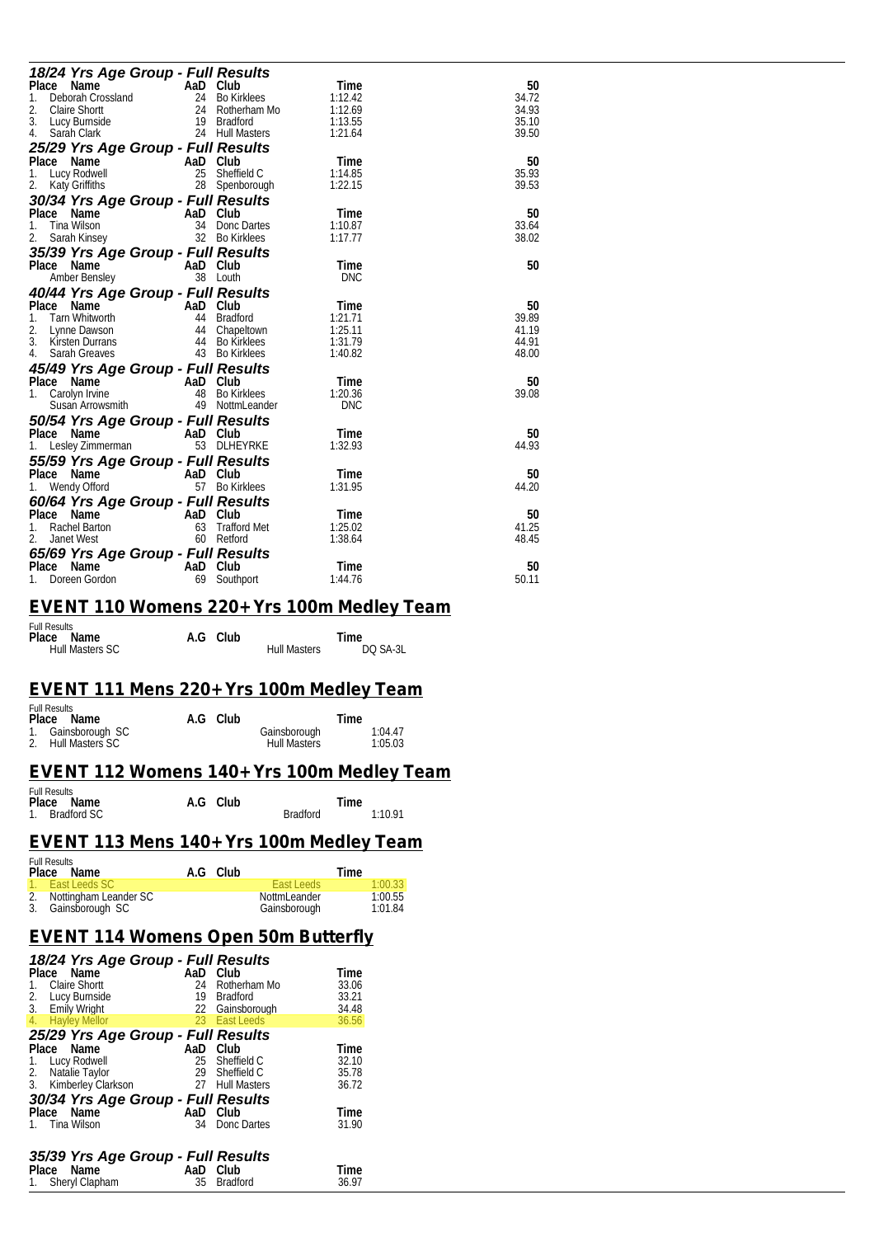| 18/24 Yrs Age Group - Full Results                                                                                                                                                                                                                                 |          |                                                   |            |       |
|--------------------------------------------------------------------------------------------------------------------------------------------------------------------------------------------------------------------------------------------------------------------|----------|---------------------------------------------------|------------|-------|
| Place<br>ace Name<br>Deborah Crossland<br>Claire Shortt<br>Lucy Burnside<br>Sarah Clark<br>24 Hull Masters<br>24 Hull Masters                                                                                                                                      |          |                                                   | Time       | 50    |
| 1.                                                                                                                                                                                                                                                                 |          |                                                   | 1:12.42    | 34.72 |
| 2.                                                                                                                                                                                                                                                                 |          |                                                   | 1:12.69    | 34.93 |
| 3.                                                                                                                                                                                                                                                                 |          |                                                   | 1:13.55    | 35.10 |
| 4.                                                                                                                                                                                                                                                                 |          |                                                   | 1:21.64    | 39.50 |
| 25/29 Yrs Age Group - Full Results                                                                                                                                                                                                                                 |          |                                                   |            |       |
| Place Name<br>AaD Club<br>1<br>25 Sheffie<br>28 Spenh                                                                                                                                                                                                              |          |                                                   | Time       | 50    |
| 1.<br>Lucy Rodwell                                                                                                                                                                                                                                                 |          | Sheffield C                                       | 1:14.85    | 35.93 |
| 2.<br>Katy Griffiths                                                                                                                                                                                                                                               |          | 28 Spenborough                                    | 1:22.15    | 39.53 |
| 30/34 Yrs Age Group - Full Results                                                                                                                                                                                                                                 |          |                                                   |            |       |
| Place Name<br>$AaD$ <sub>34</sub>                                                                                                                                                                                                                                  |          | Club                                              | Time       | 50    |
| Tina Wilson<br>1.                                                                                                                                                                                                                                                  |          | Donc Dartes                                       | 1:10.87    | 33.64 |
| 2.<br>Sarah Kinsey                                                                                                                                                                                                                                                 |          | 32 Bo Kirklees                                    | 1:17.77    | 38.02 |
| 35/39 Yrs Age Group - Full Results                                                                                                                                                                                                                                 |          |                                                   |            |       |
| Place Name                                                                                                                                                                                                                                                         | AaD Club |                                                   | Time       | 50    |
| Amber Bensley                                                                                                                                                                                                                                                      |          | 38 Louth                                          | <b>DNC</b> |       |
| 40/44 Yrs Age Group - Full Results                                                                                                                                                                                                                                 |          |                                                   |            |       |
| Place Name<br>Ce Name<br>Tam Whitworth<br>1977 - An Bradford<br>1978 - An Bradford<br>1978 - An Bradford<br>1978 - An Bradford<br>1978 - An Bradford<br>1980 - An Bradford<br>1980 - An Bradford<br>1980 - An Bradford<br>1980 - An Bradford<br>1980 - An Bradford |          |                                                   | Time       | 50    |
| 1.                                                                                                                                                                                                                                                                 |          |                                                   | 1:21.71    | 39.89 |
| 2.                                                                                                                                                                                                                                                                 |          |                                                   | 1:25.11    | 41.19 |
| 3. Kirsten Durrans                                                                                                                                                                                                                                                 |          |                                                   | 1:31.79    | 44.91 |
| 4.<br>Sarah Greaves                                                                                                                                                                                                                                                |          | 43 Bo Kirklees                                    | 1:40.82    | 48.00 |
| 45/49 Yrs Age Group - Full Results                                                                                                                                                                                                                                 |          |                                                   |            |       |
|                                                                                                                                                                                                                                                                    |          | Club                                              | Time       | 50    |
| Place Name<br>1. Carolyn Irvine<br>48                                                                                                                                                                                                                              | 48       | Bo Kirklees                                       | 1:20.36    | 39.08 |
| Susan Arrowsmith                                                                                                                                                                                                                                                   |          | 49 NottmLeander                                   | <b>DNC</b> |       |
| 50/54 Yrs Age Group - Full Results                                                                                                                                                                                                                                 |          |                                                   |            |       |
| Place Name                                                                                                                                                                                                                                                         | AaD Club |                                                   | Time       | 50    |
| Lesley Zimmerman                                                                                                                                                                                                                                                   |          | 53 DLHEYRKE                                       | 1:32.93    | 44.93 |
| 55/59 Yrs Age Group - Full Results                                                                                                                                                                                                                                 |          |                                                   |            |       |
| Place Name                                                                                                                                                                                                                                                         |          | Club                                              | Time       | 50    |
| AaD<br>1.<br>Wendy Offord                                                                                                                                                                                                                                          |          | 57 Bo Kirklees                                    | 1:31.95    | 44.20 |
|                                                                                                                                                                                                                                                                    |          |                                                   |            |       |
| 60/64 Yrs Age Group - Full Results                                                                                                                                                                                                                                 |          | <b>Full Results</b><br>aD Club<br>63 Trafford Met |            |       |
| ce Name<br>Rachel Barton<br>Place Name                                                                                                                                                                                                                             | AaD Club |                                                   | Time       | 50    |
| 1.                                                                                                                                                                                                                                                                 |          |                                                   | 1:25.02    | 41.25 |
| 2.<br>Janet West                                                                                                                                                                                                                                                   |          | 60 Retford                                        | 1:38.64    | 48.45 |
| 65/69 Yrs Age Group - Full Results                                                                                                                                                                                                                                 |          |                                                   |            |       |
| Place<br>Name<br>$AaD$ <sub>69</sub>                                                                                                                                                                                                                               |          | Club                                              | Time       | 50    |
| Doreen Gordon<br>1.                                                                                                                                                                                                                                                | 69       | Southport                                         | 1:44.76    | 50.11 |

#### *EVENT 110 Womens 220+ Yrs 100m Medley Team*

| <b>Full Results</b>    |          |                     |          |  |
|------------------------|----------|---------------------|----------|--|
| Place Name             | A.G Club |                     | Time     |  |
| <b>Hull Masters SC</b> |          | <b>Hull Masters</b> | DQ SA-3L |  |

#### *EVENT 111 Mens 220+ Yrs 100m Medley Team*

| <b>Full Results</b> |          |                     |         |
|---------------------|----------|---------------------|---------|
| Place Name          | A.G Club | Time                |         |
| 1. Gainsborough SC  |          | Gainsborough        | 1:04.47 |
| 2. Hull Masters SC  |          | <b>Hull Masters</b> | 1:05.03 |

#### *EVENT 112 Womens 140+ Yrs 100m Medley Team*

| <b>Full Results</b> |          |                 |         |
|---------------------|----------|-----------------|---------|
| Place Name          | A.G Club |                 | Time    |
| 1. Bradford SC      |          | <b>Bradford</b> | 1:10.91 |

#### *EVENT 113 Mens 140+ Yrs 100m Medley Team*

| <b>Full Results</b><br>Place Name | A.G Club |              | Time    |
|-----------------------------------|----------|--------------|---------|
| 1. East Leeds SC                  |          | East Leeds   | 1:00.33 |
| 2. Nottingham Leander SC          |          | NottmLeander | 1:00.55 |
| 3. Gainsborough SC                |          | Gainsborough | 1:01.84 |

#### *EVENT 114 Womens Open 50m Butterfly*

| 18/24 Yrs Age Group - Full Results<br>Place Name<br><b>Claire Shortt</b><br>1.<br>Lucy Burnside<br>2.<br>3. Emily Wright<br>4. Hayley Mellor | AaD<br>24<br>19 | Club<br>Rotherham Mo<br>Bradford<br>22 Gainsborough<br>23 East Leeds | Time<br>33.06<br>33.21<br>34.48<br>36.56 |  |  |  |  |
|----------------------------------------------------------------------------------------------------------------------------------------------|-----------------|----------------------------------------------------------------------|------------------------------------------|--|--|--|--|
| 25/29 Yrs Age Group - Full Results                                                                                                           |                 |                                                                      |                                          |  |  |  |  |
| Place Name<br>Lucy Rodwell<br>1.<br>2.<br>Natalie Taylor<br>3. Kimberley Clarkson                                                            | AaD             | Club<br>25 Sheffield C<br>29 Sheffield C<br>27 Hull Masters          | Time<br>32.10<br>35.78<br>36.72          |  |  |  |  |
| 30/34 Yrs Age Group - Full Results                                                                                                           |                 |                                                                      |                                          |  |  |  |  |
| Place Name                                                                                                                                   | AaD             | Club                                                                 | Time                                     |  |  |  |  |
| 1. Tina Wilson<br>Donc Dartes<br>31.90<br>34<br>35/39 Yrs Age Group - Full Results                                                           |                 |                                                                      |                                          |  |  |  |  |
| Place<br>Name                                                                                                                                | AaD             | Club                                                                 | Time                                     |  |  |  |  |
| 1. Sheryl Clapham                                                                                                                            | 35              | <b>Bradford</b>                                                      | 36.97                                    |  |  |  |  |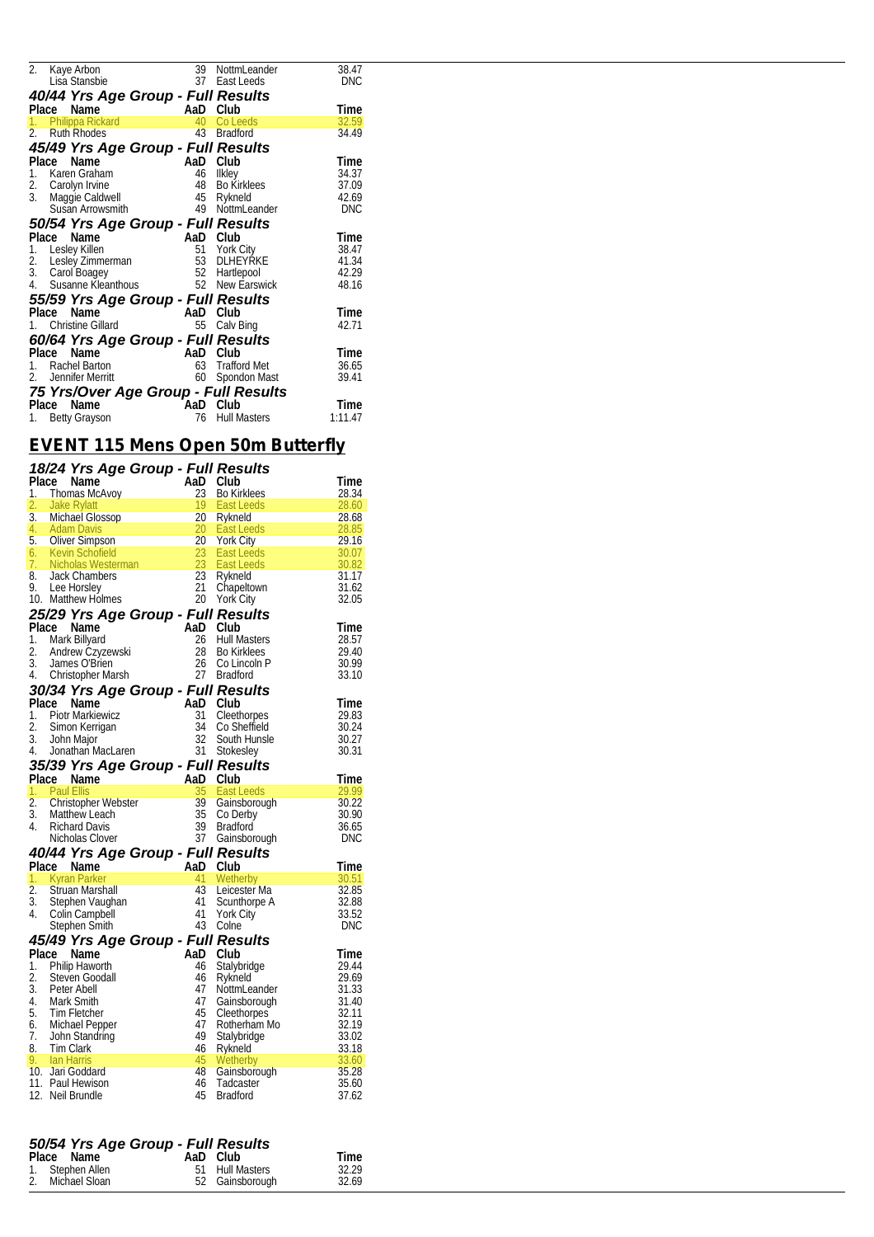| 2.    | Kaye Arbon                                                                                                                                                                                                                     |          | 39 NottmLeander     | 38.47      |  |  |  |  |  |
|-------|--------------------------------------------------------------------------------------------------------------------------------------------------------------------------------------------------------------------------------|----------|---------------------|------------|--|--|--|--|--|
|       | Lisa Stansbie                                                                                                                                                                                                                  | 37       | East Leeds          | <b>DNC</b> |  |  |  |  |  |
|       |                                                                                                                                                                                                                                |          |                     |            |  |  |  |  |  |
| Place | 40/44 Yrs Age Group - Full Results<br>AaD<br>Time<br>Name<br>Club                                                                                                                                                              |          |                     |            |  |  |  |  |  |
|       | rd A<br>1. Philippa Rickard                                                                                                                                                                                                    |          | 40 Co Leeds         | 32.59      |  |  |  |  |  |
| 2.    | <b>Ruth Rhodes</b>                                                                                                                                                                                                             | 43       | <b>Bradford</b>     | 34.49      |  |  |  |  |  |
|       | 45/49 Yrs Age Group - Full Results                                                                                                                                                                                             |          |                     |            |  |  |  |  |  |
| Place |                                                                                                                                                                                                                                |          |                     | Time       |  |  |  |  |  |
| 1.    | Ce Name<br>Karen Graham 46 Ilkley<br>Carolyn Irvine 48 Bo Kir<br>Maggie Caldwell<br>45 Rykne                                                                                                                                   |          |                     | 34.37      |  |  |  |  |  |
|       | 2. Carolyn Irvine                                                                                                                                                                                                              |          | Bo Kirklees         | 37.09      |  |  |  |  |  |
| 3.    |                                                                                                                                                                                                                                |          | Rykneld             | 42.69      |  |  |  |  |  |
|       | Susan Arrowsmith 49                                                                                                                                                                                                            |          | NottmLeander        | <b>DNC</b> |  |  |  |  |  |
|       |                                                                                                                                                                                                                                |          |                     |            |  |  |  |  |  |
|       | 50/54 Yrs Age Group - Full Results                                                                                                                                                                                             |          |                     |            |  |  |  |  |  |
| Place | Compare Compare Compare Compare Compare Compare Compare Compare Compare Compare Compare Compare Compare Compare Compare Compare Compare Compare Compare Compare Compare Compare Compare Compare Compare Compare Compare Compar |          |                     | Time       |  |  |  |  |  |
|       | 1. Lesley Killen                                                                                                                                                                                                               |          | 51 York City        | 38.47      |  |  |  |  |  |
| 2.    |                                                                                                                                                                                                                                |          | DLHEYRKE            | 41.34      |  |  |  |  |  |
|       | 52<br>3. Carol Boagey                                                                                                                                                                                                          |          | Hartlepool          | 42.29      |  |  |  |  |  |
|       | 4. Susanne Kleanthous                                                                                                                                                                                                          |          | 52 New Earswick     | 48.16      |  |  |  |  |  |
|       | 55/59 Yrs Age Group - Full Results                                                                                                                                                                                             |          |                     |            |  |  |  |  |  |
| Place | Name                                                                                                                                                                                                                           | AaD Club |                     | Time       |  |  |  |  |  |
|       | Christine Gillard                                                                                                                                                                                                              | 55       | Calv Bing           | 42.71      |  |  |  |  |  |
|       | 60/64 Yrs Age Group - Full Results                                                                                                                                                                                             |          |                     |            |  |  |  |  |  |
|       | Place Name<br>Comment of Name<br>Rachel Barton<br>Jennifer Merritt                                                                                                                                                             | AaD Club |                     | Time       |  |  |  |  |  |
|       |                                                                                                                                                                                                                                | 63       | <b>Trafford Met</b> | 36.65      |  |  |  |  |  |
| 2.    | Jennifer Merritt                                                                                                                                                                                                               | 60       | Spondon Mast        | 39.41      |  |  |  |  |  |
|       | 75 Yrs/Over Age Group - Full Results                                                                                                                                                                                           |          |                     |            |  |  |  |  |  |
| Place | Name                                                                                                                                                                                                                           | AaD      | Club                | Time       |  |  |  |  |  |
| 1.    | <b>Betty Grayson</b>                                                                                                                                                                                                           | 76       | <b>Hull Masters</b> | 1:11.47    |  |  |  |  |  |
|       |                                                                                                                                                                                                                                |          |                     |            |  |  |  |  |  |

# *EVENT 115 Mens Open 50m Butterfly*

| 18/24 Yrs Age Group - Full Results<br>1. Thomas McAvoy 23 Bo Kirklees<br>1. Thomas McAvoy 23 Bo Kirklees<br>2.8.34<br>2. Jake Rylatt 19 East Leeds<br>3. Michael Glossop<br>4. Adam Davis<br>5. Oliver Simpson 20 York City<br>6. Kevin Schofi                                          |  |  |
|-----------------------------------------------------------------------------------------------------------------------------------------------------------------------------------------------------------------------------------------------------------------------------------------|--|--|
|                                                                                                                                                                                                                                                                                         |  |  |
|                                                                                                                                                                                                                                                                                         |  |  |
|                                                                                                                                                                                                                                                                                         |  |  |
|                                                                                                                                                                                                                                                                                         |  |  |
|                                                                                                                                                                                                                                                                                         |  |  |
|                                                                                                                                                                                                                                                                                         |  |  |
|                                                                                                                                                                                                                                                                                         |  |  |
|                                                                                                                                                                                                                                                                                         |  |  |
|                                                                                                                                                                                                                                                                                         |  |  |
|                                                                                                                                                                                                                                                                                         |  |  |
|                                                                                                                                                                                                                                                                                         |  |  |
|                                                                                                                                                                                                                                                                                         |  |  |
|                                                                                                                                                                                                                                                                                         |  |  |
|                                                                                                                                                                                                                                                                                         |  |  |
|                                                                                                                                                                                                                                                                                         |  |  |
|                                                                                                                                                                                                                                                                                         |  |  |
| 4. Christopher Matsin<br><b>30/34 Yrs Age Group - Full Results</b><br>Time<br>1. Piotr Markiewicz<br>1. Piotr Markiewicz<br>1. Piotr Markiewicz<br>1. John Major<br>1. John Major<br>1. John Major<br>1. John Major<br>1. John Major<br>1. John Major<br>1.                             |  |  |
|                                                                                                                                                                                                                                                                                         |  |  |
|                                                                                                                                                                                                                                                                                         |  |  |
|                                                                                                                                                                                                                                                                                         |  |  |
|                                                                                                                                                                                                                                                                                         |  |  |
|                                                                                                                                                                                                                                                                                         |  |  |
|                                                                                                                                                                                                                                                                                         |  |  |
| 4. Jonanian MacLaren<br><b>35/39 Yrs Age Group - Full Results</b><br><b>Pace Manne 1. Paul Ellis</b><br><b>Pace Manne 1. Paul Ellis</b><br><b>Pace 1. Paul Ellis</b><br><b>Pace 1. Paul Ellis</b><br><b>Pace 1. Paul Ellis</b><br><b>Pace 1. Paul Ellis</b><br><b>Pace 1. Pace 1. P</b> |  |  |
|                                                                                                                                                                                                                                                                                         |  |  |
|                                                                                                                                                                                                                                                                                         |  |  |
|                                                                                                                                                                                                                                                                                         |  |  |
|                                                                                                                                                                                                                                                                                         |  |  |
|                                                                                                                                                                                                                                                                                         |  |  |
|                                                                                                                                                                                                                                                                                         |  |  |
| Nicholas Clover<br>1. Kyran Parker<br>1. Kyran Parker<br>1. Kyran Parker<br>1. Agram Parker<br>1. Agram Parker<br>1. Agram Parker<br>1. Agram A1 Wetherby<br>1. Struan Marshall<br>1. Struan Marshall<br>1. Stephen Vaughan<br>1. Stephen Smith<br>1.                                   |  |  |
|                                                                                                                                                                                                                                                                                         |  |  |
|                                                                                                                                                                                                                                                                                         |  |  |
|                                                                                                                                                                                                                                                                                         |  |  |
|                                                                                                                                                                                                                                                                                         |  |  |
|                                                                                                                                                                                                                                                                                         |  |  |
|                                                                                                                                                                                                                                                                                         |  |  |
|                                                                                                                                                                                                                                                                                         |  |  |
|                                                                                                                                                                                                                                                                                         |  |  |
|                                                                                                                                                                                                                                                                                         |  |  |
|                                                                                                                                                                                                                                                                                         |  |  |
|                                                                                                                                                                                                                                                                                         |  |  |
|                                                                                                                                                                                                                                                                                         |  |  |
|                                                                                                                                                                                                                                                                                         |  |  |
|                                                                                                                                                                                                                                                                                         |  |  |
|                                                                                                                                                                                                                                                                                         |  |  |
|                                                                                                                                                                                                                                                                                         |  |  |
|                                                                                                                                                                                                                                                                                         |  |  |
|                                                                                                                                                                                                                                                                                         |  |  |
|                                                                                                                                                                                                                                                                                         |  |  |
| Stephen Smith<br>43 Come<br>43 Come<br>1. Philip Haworth<br>1. Philip Haworth<br>1. Philip Haworth<br>1. Philip Haworth<br>1. Philip Haworth<br>46 Stylend<br>46 Stylend<br>47 NottmLeander<br>47 NottmLeander<br>17 Research<br>17 Research<br>17 Researc                              |  |  |

# *50/54 Yrs Age Group - Full Results*  **Place Name Carp Carp Carp France Allen 51 Hull Masters 52.29<br>
1. Stephen Allen 51 Hull Masters 32.29<br>
2. Michael Sloan 52 Gainsborough 32.69**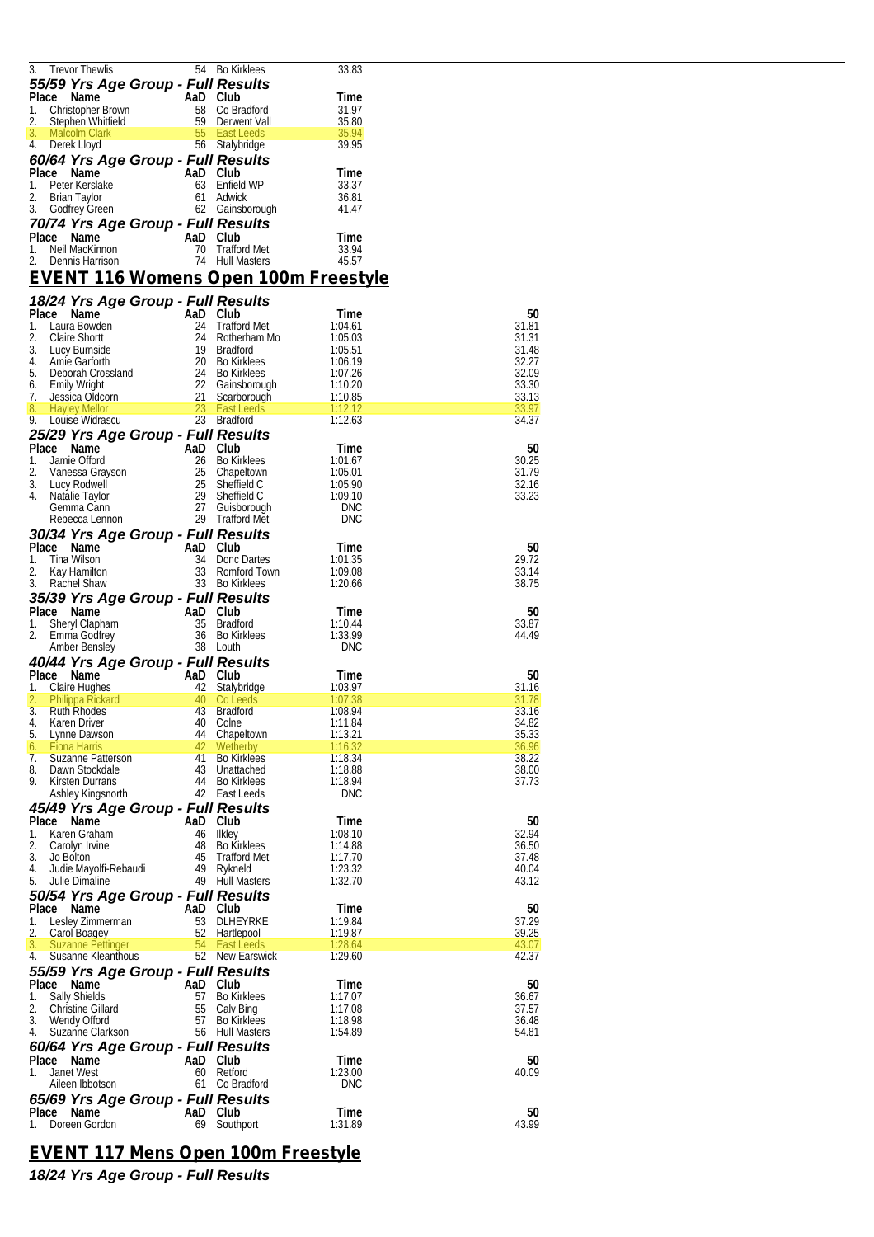| <b>Trevor Thewlis</b>                                                                                                                                                                                                                                                                    |                        | 54 Bo Kirklees                    | 33.83          |       |
|------------------------------------------------------------------------------------------------------------------------------------------------------------------------------------------------------------------------------------------------------------------------------------------|------------------------|-----------------------------------|----------------|-------|
|                                                                                                                                                                                                                                                                                          |                        |                                   |                |       |
| 55/59 Yrs Age Group - Full Results                                                                                                                                                                                                                                                       |                        |                                   |                |       |
| <b>59 Yrs Age of Capital City Controls Control City Controls Controls Controls Controls Controls Controls Controls Controls Controls Controls Controls Controls Controls Controls Controls Controls Controls Controls Controls C</b>                                                     |                        |                                   |                |       |
| Place Name                                                                                                                                                                                                                                                                               |                        |                                   | Time           |       |
| 1.                                                                                                                                                                                                                                                                                       |                        |                                   | 31.97          |       |
| 2.                                                                                                                                                                                                                                                                                       |                        |                                   | 35.80          |       |
|                                                                                                                                                                                                                                                                                          |                        |                                   |                |       |
| 3.                                                                                                                                                                                                                                                                                       |                        |                                   | 35.94          |       |
| and the state of the state of the state of the state of the state of the state of the state of the state of th<br>and the state of the state of the state of the state of the state of the state of the state of the state of th<br>4.<br>Derek Lloyd                                    |                        |                                   | 39.95          |       |
|                                                                                                                                                                                                                                                                                          |                        |                                   |                |       |
| 60/64 Yrs Age Group - Full Results                                                                                                                                                                                                                                                       |                        |                                   |                |       |
| Place Name                                                                                                                                                                                                                                                                               | AaD Club<br>63 Fnfield |                                   | Time           |       |
|                                                                                                                                                                                                                                                                                          |                        |                                   |                |       |
| 1.<br>Peter Kerslake                                                                                                                                                                                                                                                                     |                        | 63 Enfield WP                     | 33.37          |       |
| 2.<br><b>Brian Taylor</b>                                                                                                                                                                                                                                                                |                        | 61 Adwick                         | 36.81          |       |
|                                                                                                                                                                                                                                                                                          |                        |                                   |                |       |
| 3.<br>Godfrey Green                                                                                                                                                                                                                                                                      |                        | 62 Gainsborough                   | 41.47          |       |
|                                                                                                                                                                                                                                                                                          |                        |                                   |                |       |
| 70/74 Yrs Age Group - Full Results                                                                                                                                                                                                                                                       |                        |                                   |                |       |
| Place Name                                                                                                                                                                                                                                                                               | AaD Club               |                                   | Time           |       |
|                                                                                                                                                                                                                                                                                          |                        |                                   |                |       |
| Neil MacKinnon<br>1.                                                                                                                                                                                                                                                                     |                        | 70 Trafford Met                   | 33.94          |       |
| 2.<br>Dennis Harrison                                                                                                                                                                                                                                                                    |                        | 74 Hull Masters                   | 45.57          |       |
|                                                                                                                                                                                                                                                                                          |                        |                                   |                |       |
| <u>EVENT 116 Womens Open 100m Freestyle</u>                                                                                                                                                                                                                                              |                        |                                   |                |       |
|                                                                                                                                                                                                                                                                                          |                        |                                   |                |       |
|                                                                                                                                                                                                                                                                                          |                        |                                   |                |       |
| 18/24 Yrs Age Group - Full Results                                                                                                                                                                                                                                                       |                        |                                   |                |       |
| Place Name                                                                                                                                                                                                                                                                               |                        |                                   | Time           | 50    |
|                                                                                                                                                                                                                                                                                          |                        |                                   |                |       |
| 1.                                                                                                                                                                                                                                                                                       |                        |                                   | 1:04.61        | 31.81 |
| 2.                                                                                                                                                                                                                                                                                       |                        |                                   | 1:05.03        | 31.31 |
| 3.                                                                                                                                                                                                                                                                                       |                        |                                   | 1:05.51        | 31.48 |
|                                                                                                                                                                                                                                                                                          |                        |                                   |                |       |
| 4.                                                                                                                                                                                                                                                                                       |                        |                                   | 1:06.19        | 32.27 |
| 5.                                                                                                                                                                                                                                                                                       |                        |                                   | 1:07.26        | 32.09 |
|                                                                                                                                                                                                                                                                                          |                        |                                   |                |       |
| 6.                                                                                                                                                                                                                                                                                       |                        |                                   | 1:10.20        | 33.30 |
| 7.                                                                                                                                                                                                                                                                                       |                        |                                   | 1:10.85        | 33.13 |
| ace Name<br>Laura Bowden<br>Laura Bowden<br>Claire Shortt<br>Laura Bowden<br>Claire Shortt<br>24 Rotherham Mo<br>Lucy Burnside<br>And 24 Rotherham Mo<br>Lucy Burnside<br>29 Bo Kirklees<br>Emily Wright<br>Lessica Oldcorn<br>22 Gainsbrough<br>Lessica O<br>8.<br><b>Hayley Mellor</b> |                        | 23 East Leeds                     | 1:12.12        | 33.97 |
|                                                                                                                                                                                                                                                                                          |                        |                                   |                |       |
| 9.<br>Louise Widrascu                                                                                                                                                                                                                                                                    |                        | 23 Bradford                       | 1:12.63        | 34.37 |
|                                                                                                                                                                                                                                                                                          |                        |                                   |                |       |
| 25/29 Yrs Age Group - Full Results                                                                                                                                                                                                                                                       |                        |                                   |                |       |
| Place Name<br>Ce Name<br>Jamie Offord<br>1990 - An Club<br>Club<br>26 Bo Kirklees<br>Vanessa Grayson<br>Lucy Rodwell<br>25 Sheffield C<br>Natalie Taylor<br>29 Sheffield C<br>Gemma Cann<br>27 Guisborough                                                                               |                        |                                   | l ime          | 50    |
|                                                                                                                                                                                                                                                                                          |                        |                                   |                |       |
| 1.                                                                                                                                                                                                                                                                                       |                        |                                   | 1:01.67        | 30.25 |
| 2.                                                                                                                                                                                                                                                                                       |                        |                                   | 1:05.01        | 31.79 |
|                                                                                                                                                                                                                                                                                          |                        |                                   |                | 32.16 |
| 3.                                                                                                                                                                                                                                                                                       |                        |                                   | 1:05.90        |       |
| 4.                                                                                                                                                                                                                                                                                       |                        |                                   | 1:09.10        | 33.23 |
| Gemma Cann                                                                                                                                                                                                                                                                               |                        |                                   | <b>DNC</b>     |       |
|                                                                                                                                                                                                                                                                                          |                        | 27 Guisborough<br>29 Trafford Met |                |       |
| Rebecca Lennon                                                                                                                                                                                                                                                                           |                        | 29 Trafford Met                   | <b>DNC</b>     |       |
|                                                                                                                                                                                                                                                                                          |                        |                                   |                |       |
| 30/34 Yrs Age Group - Full Results                                                                                                                                                                                                                                                       |                        |                                   |                |       |
| Place Name<br>AaD Club<br>34 Donc l<br>33 Romfo                                                                                                                                                                                                                                          |                        |                                   | Time           | 50    |
|                                                                                                                                                                                                                                                                                          |                        |                                   |                |       |
| 1.<br>Tina Wilson                                                                                                                                                                                                                                                                        |                        | 34 Donc Dartes                    | 1:01.35        | 29.72 |
| 2.<br>Kay Hamilton                                                                                                                                                                                                                                                                       |                        | 33 Romford Town                   | 1:09.08        | 33.14 |
|                                                                                                                                                                                                                                                                                          |                        |                                   |                |       |
| 3.<br>Rachel Shaw                                                                                                                                                                                                                                                                        |                        | 33 Bo Kirklees                    | 1:20.66        | 38.75 |
|                                                                                                                                                                                                                                                                                          |                        |                                   |                |       |
|                                                                                                                                                                                                                                                                                          |                        |                                   |                |       |
| 35/39 Yrs Age Group - Full Results                                                                                                                                                                                                                                                       |                        |                                   |                |       |
|                                                                                                                                                                                                                                                                                          |                        |                                   |                |       |
| Place Name                                                                                                                                                                                                                                                                               |                        |                                   | l ime          | 50    |
| 1.                                                                                                                                                                                                                                                                                       |                        |                                   | 1:10.44        | 33.87 |
| 2.                                                                                                                                                                                                                                                                                       |                        | 36 Bo Kirklees                    | 1:33.99        | 44.49 |
| Le ivaine<br>Sheryl Clapham<br>Emma Godfrey<br>Emma Godfrey<br>The Club<br>Club<br>Club<br>Club<br>Club<br>Club<br>Club<br>Club<br>Club<br>Club<br>Club                                                                                                                                  |                        |                                   |                |       |
| Amber Bensley                                                                                                                                                                                                                                                                            |                        | 38 Louth                          | <b>DNC</b>     |       |
|                                                                                                                                                                                                                                                                                          |                        |                                   |                |       |
| 40/44 Yrs Age Group - Full Results                                                                                                                                                                                                                                                       |                        |                                   |                |       |
| Place Name                                                                                                                                                                                                                                                                               |                        |                                   | Time           | 50    |
| Claire Hughes<br>1.                                                                                                                                                                                                                                                                      |                        |                                   | <u>1:03.97</u> | 31.16 |
|                                                                                                                                                                                                                                                                                          |                        | AaD Club<br>42 Stalybridge        |                |       |
| 2.<br>Philippa Rickard                                                                                                                                                                                                                                                                   | 40                     | Co Leeds                          | 1:07.38        | 31.78 |
| 3.<br>Ruth Rhodes                                                                                                                                                                                                                                                                        | 43                     | <b>Bradford</b>                   | 1:08.94        | 33.16 |
|                                                                                                                                                                                                                                                                                          |                        |                                   |                |       |
| 4.<br>Karen Driver                                                                                                                                                                                                                                                                       |                        | 40 Colne                          | 1:11.84        | 34.82 |
| 5.<br>Lynne Dawson                                                                                                                                                                                                                                                                       | 44                     | Chapeltown                        | 1:13.21        | 35.33 |
| <b>Fiona Harris</b><br>6.                                                                                                                                                                                                                                                                | 42                     | Wetherby                          | 1:16.32        | 36.96 |
| 7.<br>Suzanne Patterson                                                                                                                                                                                                                                                                  |                        | 41 Bo Kirklees                    |                |       |
|                                                                                                                                                                                                                                                                                          |                        |                                   | 1:18.34        | 38.22 |
| 8.<br>Dawn Stockdale                                                                                                                                                                                                                                                                     |                        | 43 Unattached                     | 1:18.88        | 38.00 |
| 9.<br>Kirsten Durrans                                                                                                                                                                                                                                                                    |                        | 44 Bo Kirklees                    | 1:18.94        | 37.73 |
|                                                                                                                                                                                                                                                                                          |                        |                                   |                |       |
| Ashley Kingsnorth                                                                                                                                                                                                                                                                        |                        | 42 East Leeds                     | <b>DNC</b>     |       |
|                                                                                                                                                                                                                                                                                          |                        |                                   |                |       |
| 45/49 Yrs Age Group - Full Results                                                                                                                                                                                                                                                       |                        |                                   |                |       |
| Place Name                                                                                                                                                                                                                                                                               | AaD Club               |                                   | Time           | 50    |
| 1.<br>Karen Graham                                                                                                                                                                                                                                                                       |                        | 46 Ilkley                         | 1:08.10        | 32.94 |
|                                                                                                                                                                                                                                                                                          |                        |                                   |                |       |
| 2.<br>Carolyn Irvine                                                                                                                                                                                                                                                                     |                        | 48 Bo Kirklees                    | 1:14.88        | 36.50 |
| 3.<br>Jo Bolton                                                                                                                                                                                                                                                                          | 45                     | <b>Trafford Met</b>               | 1:17.70        | 37.48 |
| 4.<br>Judie Mayolfi-Rebaudi                                                                                                                                                                                                                                                              |                        | 49 Rykneld                        | 1:23.32        | 40.04 |
|                                                                                                                                                                                                                                                                                          |                        |                                   |                |       |
| 5.<br>Julie Dimaline                                                                                                                                                                                                                                                                     |                        | 49 Hull Masters                   | 1:32.70        | 43.12 |
|                                                                                                                                                                                                                                                                                          |                        |                                   |                |       |
| 50/54 Yrs Age Group - Full Results                                                                                                                                                                                                                                                       |                        |                                   |                |       |
| Place Name                                                                                                                                                                                                                                                                               | AaD Club               |                                   | Time           | 50    |
|                                                                                                                                                                                                                                                                                          |                        |                                   |                |       |
| 1.<br>Lesley Zimmerman                                                                                                                                                                                                                                                                   |                        | 53 DLHEYRKE                       | 1:19.84        | 37.29 |
| 2.<br>Carol Boagey                                                                                                                                                                                                                                                                       |                        | 52 Hartlepool                     | 1:19.87        | 39.25 |
| 3.<br>Suzanne Pettinger                                                                                                                                                                                                                                                                  | 54                     | <b>East Leeds</b>                 | 1:28.64        | 43.07 |
|                                                                                                                                                                                                                                                                                          |                        |                                   |                |       |
| 4.<br>Susanne Kleanthous                                                                                                                                                                                                                                                                 |                        | 52 New Earswick                   | 1:29.60        | 42.37 |
|                                                                                                                                                                                                                                                                                          |                        |                                   |                |       |
| 55/59 Yrs Age Group - Full Results                                                                                                                                                                                                                                                       |                        |                                   |                |       |
| Place Name                                                                                                                                                                                                                                                                               | AaD Club               |                                   | Time           | 50    |
|                                                                                                                                                                                                                                                                                          |                        |                                   |                |       |
| 1.<br><b>Sally Shields</b>                                                                                                                                                                                                                                                               | 57                     | <b>Bo Kirklees</b>                | 1:17.07        | 36.67 |
| 2.<br>Christine Gillard                                                                                                                                                                                                                                                                  | 55                     | Calv Bing                         | 1:17.08        | 37.57 |
| 3.<br>Wendy Offord                                                                                                                                                                                                                                                                       | 57                     | <b>Bo Kirklees</b>                | 1:18.98        | 36.48 |
|                                                                                                                                                                                                                                                                                          |                        |                                   |                |       |
| 4.<br>Suzanne Clarkson                                                                                                                                                                                                                                                                   |                        | 56 Hull Masters                   | 1:54.89        | 54.81 |
|                                                                                                                                                                                                                                                                                          |                        |                                   |                |       |
| 60/64 Yrs Age Group - Full Results                                                                                                                                                                                                                                                       |                        |                                   |                |       |
| Place Name                                                                                                                                                                                                                                                                               | AaD Club               |                                   | Time           | 50    |
|                                                                                                                                                                                                                                                                                          |                        |                                   |                |       |
| Janet West<br>1.                                                                                                                                                                                                                                                                         |                        | 60 Retford                        | 1:23.00        | 40.09 |
| Aileen Ibbotson                                                                                                                                                                                                                                                                          |                        | 61 Co Bradford                    | <b>DNC</b>     |       |
|                                                                                                                                                                                                                                                                                          |                        |                                   |                |       |
| 65/69 Yrs Age Group - Full Results                                                                                                                                                                                                                                                       |                        |                                   |                |       |
| Place Name                                                                                                                                                                                                                                                                               | AaD Club               |                                   | l ime          | 50    |
|                                                                                                                                                                                                                                                                                          |                        |                                   |                |       |
| Doreen Gordon<br>1.                                                                                                                                                                                                                                                                      | 69                     | Southport                         | 1:31.89        | 43.99 |

#### **EVENT 117 Mens Open 100m Freestyle**

18/24 Yrs Age Group - Full Results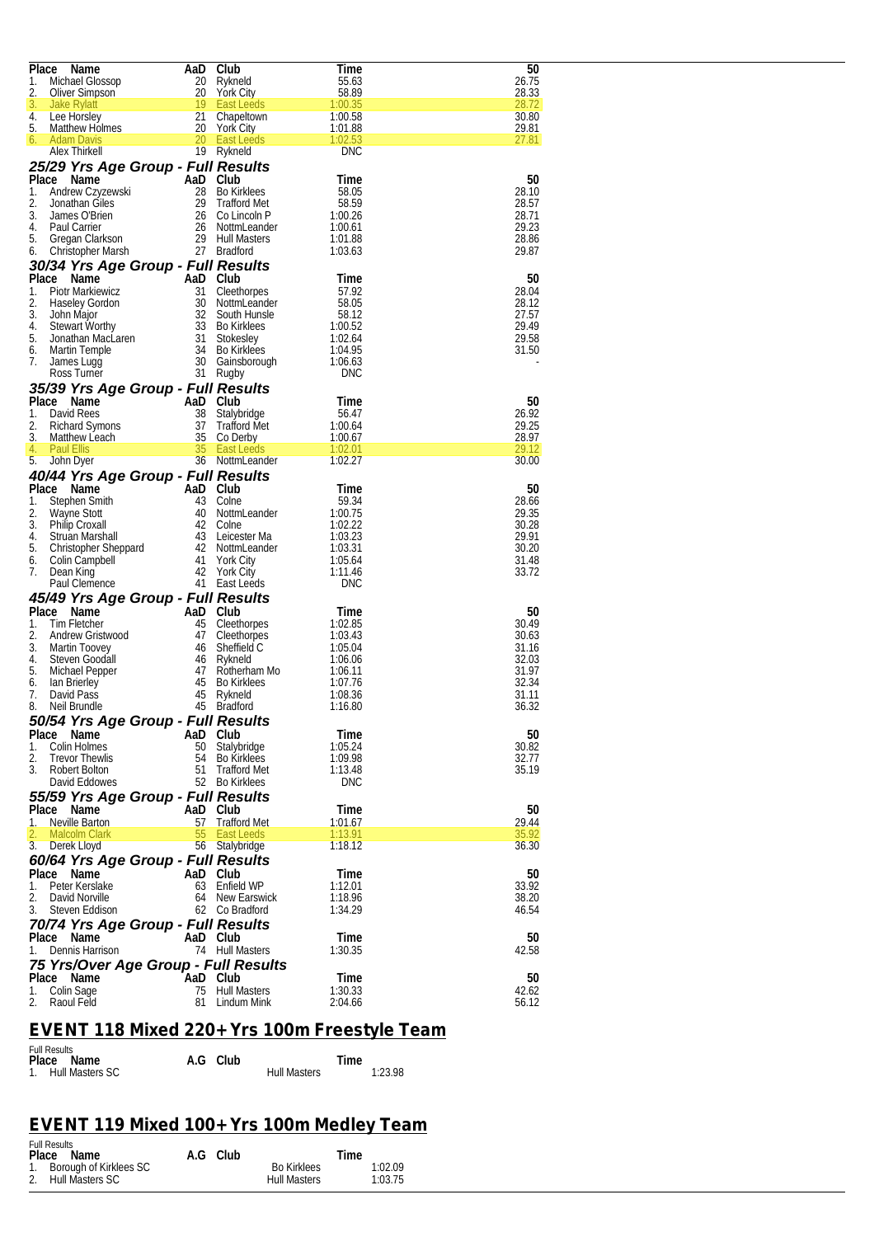| Place | Name                                 | AaD      | Club                | Time       | 50    |
|-------|--------------------------------------|----------|---------------------|------------|-------|
| 1.    | Michael Glossop                      | 20       | Rykneld             | 55.63      | 26.75 |
| 2.    | Oliver Simpson                       | 20       | <b>York City</b>    | 58.89      | 28.33 |
|       |                                      | 19       |                     |            | 28.72 |
| 3.    | Jake Rylatt                          |          | <b>East Leeds</b>   | 1:00.35    |       |
| 4.    | Lee Horsley                          | 21       | Chapeltown          | 1:00.58    | 30.80 |
| 5.    | Matthew Holmes                       | 20       | York City           | 1:01.88    | 29.81 |
| 6.    | <b>Adam Davis</b>                    | 20       | <b>East Leeds</b>   | 1:02.53    | 27.81 |
|       | Alex Thirkell                        |          | 19 Rykneld          | <b>DNC</b> |       |
|       |                                      |          |                     |            |       |
|       | 25/29 Yrs Age Group - Full Results   |          |                     |            |       |
|       | Place Name                           | AaD      | Club                | 1 ime      | 50    |
|       |                                      |          |                     |            |       |
| 1.    | Andrew Czyzewski                     | 28       | <b>Bo Kirklees</b>  | 58.05      | 28.10 |
| 2.    | Jonathan Giles                       | 29       | <b>Trafford Met</b> | 58.59      | 28.57 |
| 3.    | James O'Brien                        | 26       | Co Lincoln P        | 1:00.26    | 28.71 |
| 4.    | Paul Carrier                         | 26       | NottmLeander        | 1:00.61    | 29.23 |
| 5.    |                                      |          | 29 Hull Masters     |            | 28.86 |
|       | Gregan Clarkson                      |          |                     | 1:01.88    |       |
| 6.    | Christopher Marsh                    |          | 27 Bradford         | 1:03.63    | 29.87 |
|       | 30/34 Yrs Age Group - Full Results   |          |                     |            |       |
|       |                                      |          |                     |            |       |
| Place | Name                                 | AaD      | Club                | 1 ime      | 50    |
| 1.    | Piotr Markiewicz                     | 31       | Cleethorpes         | 57.92      | 28.04 |
| 2.    | <b>Haseley Gordon</b>                | 30       | NottmLeander        | 58.05      | 28.12 |
| 3.    | John Major                           | 32       | South Hunsle        | 58.12      | 27.57 |
|       |                                      |          |                     |            |       |
| 4.    | Stewart Worthy                       | 33       | <b>Bo Kirklees</b>  | 1:00.52    | 29.49 |
| 5.    | Jonathan MacLaren                    | 31       | Stokesley           | 1:02.64    | 29.58 |
| 6.    | Martin Temple                        | 34       | <b>Bo Kirklees</b>  | 1:04.95    | 31.50 |
| 7.    | James Lugg                           |          | 30 Gainsborough     | 1:06.63    |       |
|       |                                      |          |                     |            |       |
|       | Ross Turner                          |          | 31 Rugby            | DNC        |       |
|       | 35/39 Yrs Age Group - Full Results   |          |                     |            |       |
| Place |                                      |          |                     |            |       |
|       | Name                                 | AaD      | Club                | l ime      | 50    |
| 1.    | David Rees                           | 38       | Stalybridge         | 56.47      | 26.92 |
| 2.    | Richard Symons                       | 37       | <b>Trafford Met</b> | 1:00.64    | 29.25 |
| 3.    | Matthew Leach                        | 35       | Co Derby            | 1:00.67    | 28.97 |
|       |                                      | 35       |                     |            | 29.12 |
| 4.    | <b>Paul Ellis</b>                    |          | <b>East Leeds</b>   | 1:02.01    |       |
| 5.    | John Dyer                            |          | 36 NottmLeander     | 1:02.27    | 30.00 |
|       | 40/44 Yrs Age Group - Full Results   |          |                     |            |       |
|       |                                      |          |                     |            |       |
| Place | Name                                 | AaD Club |                     | l ime      | 50    |
| 1.    | Stephen Smith                        | 43       | Colne               | 59.34      | 28.66 |
| 2.    | Wayne Stott                          |          | 40 NottmLeander     | 1:00.75    | 29.35 |
| 3.    | <b>Philip Croxall</b>                | 42       | Colne               | 1:02.22    | 30.28 |
|       |                                      |          |                     |            |       |
| 4.    | Struan Marshall                      |          | 43 Leicester Ma     | 1:03.23    | 29.91 |
| 5.    | Christopher Sheppard                 | 42       | NottmLeander        | 1:03.31    | 30.20 |
| 6.    | Colin Campbell                       | 41       | York City           | 1:05.64    | 31.48 |
| 7.    |                                      | 42       |                     | 1:11.46    | 33.72 |
|       | Dean King                            |          | York City           |            |       |
|       | Paul Clemence                        |          | 41 East Leeds       | <b>DNC</b> |       |
|       | 45/49 Yrs Age Group - Full Results   |          |                     |            |       |
|       |                                      |          |                     |            |       |
| Place | Name                                 | AaD      | Club                | l ime      | 50    |
| 1.    | Tim Fletcher                         | 45       | Cleethorpes         | 1:02.85    | 30.49 |
| 2.    | Andrew Gristwood                     | 47       | Cleethorpes         | 1:03.43    | 30.63 |
| 3.    |                                      | 46       |                     | 1:05.04    | 31.16 |
|       | Martin Toovey                        |          | Sheffield C         |            |       |
| 4.    | Steven Goodall                       | 46       | Rykneld             | 1:06.06    | 32.03 |
| 5.    | Michael Pepper                       | 47       | Rotherham Mo        | 1:06.11    | 31.97 |
| 6.    | lan Brierley                         | 45       | <b>Bo Kirklees</b>  | 1:07.76    | 32.34 |
| 7.    | David Pass                           | 45       | Rykneld             | 1:08.36    | 31.11 |
|       |                                      |          |                     |            |       |
| 8.    | Neil Brundle                         | 45       | <b>Bradford</b>     | 1:16.80    | 36.32 |
|       | 50/54 Yrs Age Group - Full Results   |          |                     |            |       |
|       | Place Name                           |          |                     |            |       |
|       |                                      | AaD Club |                     | Time       | 50    |
| 1.    | Colin Holmes                         | 50       | Stalybridge         | 1:05.24    | 30.82 |
| 2.    | <b>Trevor Thewlis</b>                | 54       | <b>Bo Kirklees</b>  | 1:09.98    | 32.77 |
| 3.    | <b>Robert Bolton</b>                 | 51       | <b>Trafford Met</b> | 1:13.48    | 35.19 |
|       | David Eddowes                        |          | 52 Bo Kirklees      | <b>DNC</b> |       |
|       |                                      |          |                     |            |       |
|       | 55/59 Yrs Age Group - Full Results   |          |                     |            |       |
|       | Place Name                           | AaD Club |                     | Time       | 50    |
|       |                                      | 57       | <b>Trafford Met</b> |            | 29.44 |
| 1.    | Neville Barton                       |          |                     | 1:01.67    |       |
| 2.    | <b>Malcolm Clark</b>                 | 55       | <b>East Leeds</b>   | 1:13.91    | 35.92 |
|       | 3. Derek Lloyd                       | 56       | Stalybridge         | 1:18.12    | 36.30 |
|       |                                      |          |                     |            |       |
|       | 60/64 Yrs Age Group - Full Results   |          |                     |            |       |
|       | Place Name                           | AaD Club |                     | Time       | 50    |
| 1.    | Peter Kerslake                       | 63       | Enfield WP          | 1:12.01    | 33.92 |
|       |                                      |          |                     |            |       |
| 2.    | David Norville                       | 64       | New Earswick        | 1:18.96    | 38.20 |
| 3.    | Steven Eddison                       |          | 62 Co Bradford      | 1:34.29    | 46.54 |
|       | 70/74 Yrs Age Group - Full Results   |          |                     |            |       |
|       |                                      |          |                     |            |       |
|       | Place Name                           | AaD Club |                     | Time       | 50    |
| 1.    | Dennis Harrison                      |          | 74 Hull Masters     | 1:30.35    | 42.58 |
|       |                                      |          |                     |            |       |
|       | 75 Yrs/Over Age Group - Full Results |          |                     |            |       |
|       | Place Name                           | AaD Club |                     | Time       | 50    |
| 1.    | Colin Sage                           | 75       | <b>Hull Masters</b> | 1:30.33    | 42.62 |
|       |                                      |          |                     |            |       |
| 2.    | Raoul Feld                           | 81       | Lindum Mink         | 2:04.66    | 56.12 |

## *EVENT 118 Mixed 220+ Yrs 100m Freestyle Team*

| <b>Full Results</b> |          |                     |         |
|---------------------|----------|---------------------|---------|
| Place Name          | A.G Club |                     | Time    |
| 1. Hull Masters SC  |          | <b>Hull Masters</b> | 1:23.98 |

# *EVENT 119 Mixed 100+ Yrs 100m Medley Team*

| <b>Full Results</b>       |          |                     |         |
|---------------------------|----------|---------------------|---------|
| Place Name                | A.G Club |                     | Time    |
| 1. Borough of Kirklees SC |          | <b>Bo Kirklees</b>  | 1:02.09 |
| 2. Hull Masters SC        |          | <b>Hull Masters</b> | 1:03.75 |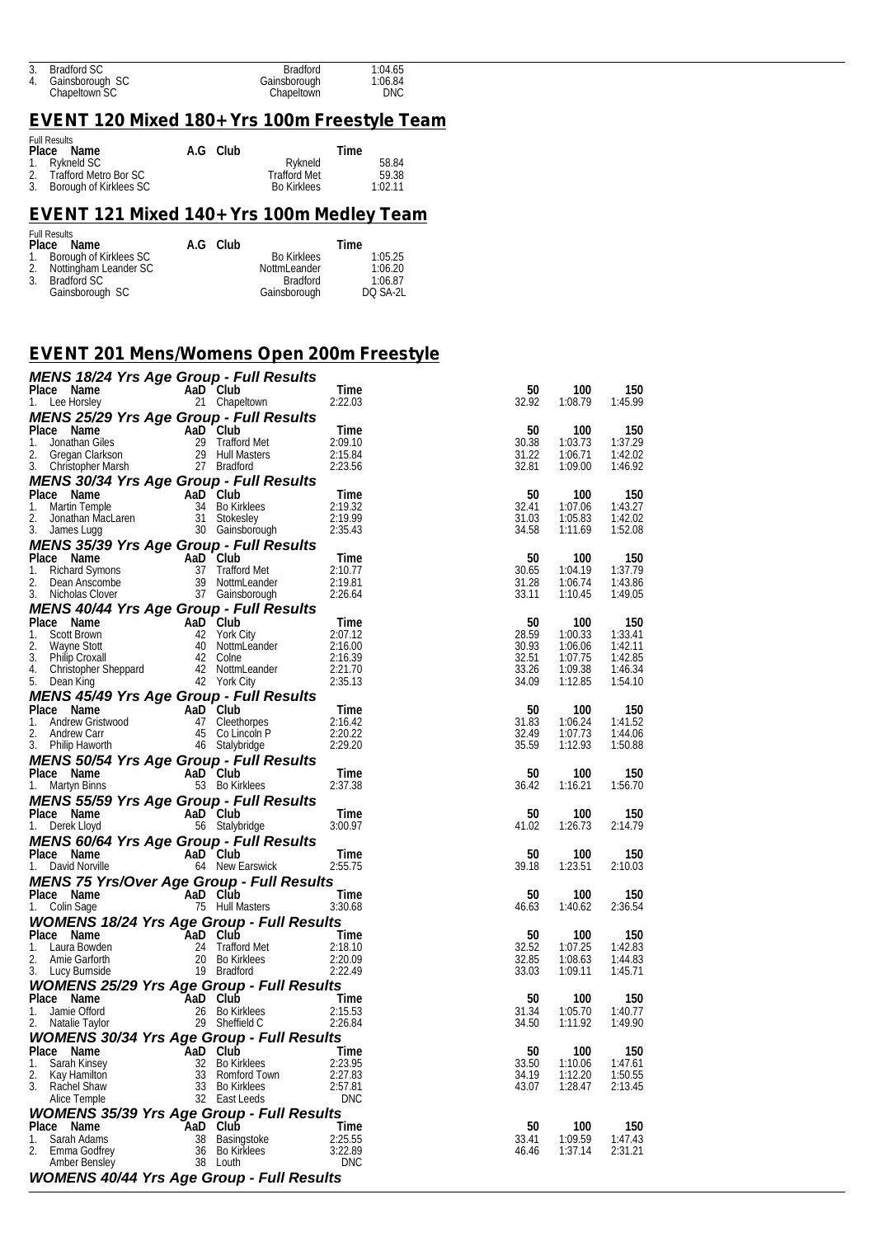| 3. Bradford SC     | <b>Bradford</b> | 1:04.65    |
|--------------------|-----------------|------------|
| 4. Gainsborough SC | Gainsborough    | 1:06.84    |
| Chapeltown SC      | Chapeltown      | <b>DNC</b> |

### *EVENT 120 Mixed 180+ Yrs 100m Freestyle Team*

| <b>Full Results</b>       |          |                     |         |
|---------------------------|----------|---------------------|---------|
| Place Name                | A.G Club |                     | Time    |
| 1. Rykneld SC             |          | Rykneld             | 58.84   |
| 2. Trafford Metro Bor SC  |          | <b>Trafford Met</b> | 59.38   |
| 3. Borough of Kirklees SC |          | <b>Bo Kirklees</b>  | 1:02.11 |

## *EVENT 121 Mixed 140+ Yrs 100m Medley Team*

|    | <b>Full Results</b>       |          |                    |          |
|----|---------------------------|----------|--------------------|----------|
|    | Place Name                | A.G Club |                    | Time     |
|    | 1. Borough of Kirklees SC |          | <b>Bo Kirklees</b> | 1:05.25  |
|    | 2. Nottingham Leander SC  |          | NottmLeander       | 1:06.20  |
| 3. | Bradford SC               |          | <b>Bradford</b>    | 1:06.87  |
|    | Gainsborough SC           |          | Gainsborough       | DO SA-2L |

### *EVENT 201 Mens/Womens Open 200m Freestyle*

| MENS 18/24 Yrs Age Group - Full Results                                                                                                                                                                                                                   |          |                                    |                                                           |                |                    |                    |
|-----------------------------------------------------------------------------------------------------------------------------------------------------------------------------------------------------------------------------------------------------------|----------|------------------------------------|-----------------------------------------------------------|----------------|--------------------|--------------------|
| Place Name                                                                                                                                                                                                                                                |          | AaD Club<br>21 Chapeltown          | Time                                                      | 50             | 100                | 150                |
| 1. Lee Horsley                                                                                                                                                                                                                                            |          |                                    | 2:22.03                                                   | 32.92          | 1:08.79            | 1:45.99            |
| <b>MENS 25/29 Yrs Age Group - Full Results</b><br>Place Name AaD Club<br>1. Jonathan Giles<br>2. Gregan Clarkson<br>3. Christopher Marsh<br>2. Crestan Clarkson<br>2. Gregan Clarkson<br>2. Bradford<br>2. Bradford<br>2. 2.3.56                          |          |                                    |                                                           | 50             | 100                | 150                |
|                                                                                                                                                                                                                                                           |          |                                    |                                                           | 30.38          | 1:03.73            | 1:37.29            |
|                                                                                                                                                                                                                                                           |          |                                    |                                                           | 31.22          | 1:06.71            | 1:42.02            |
|                                                                                                                                                                                                                                                           |          |                                    |                                                           | 32.81          | 1:09.00            | 1:46.92            |
| <b>MENS 30/34 Yrs Age Group - Full Results</b>                                                                                                                                                                                                            |          |                                    |                                                           |                |                    |                    |
|                                                                                                                                                                                                                                                           |          |                                    |                                                           | 50<br>32.41    | 100<br>1:07.06     | 150<br>1:43.27     |
|                                                                                                                                                                                                                                                           |          |                                    |                                                           | 31.03          | 1:05.83            | 1:42.02            |
| Place Name AaD Club<br>1. Martin Temple 34 Bo Kirklees 2:19.32<br>2. Jonathan MacLaren 31 Stokesley 2:19.99<br>3. James Lugg 30 Gainsborough 2:35.43                                                                                                      |          |                                    |                                                           | 34.58          | 1:11.69            | 1:52.08            |
| MENS 35/39 Yrs Age Group - Full Results                                                                                                                                                                                                                   |          |                                    |                                                           |                |                    |                    |
|                                                                                                                                                                                                                                                           |          |                                    |                                                           | 50             | 100                | 150                |
|                                                                                                                                                                                                                                                           |          |                                    |                                                           | 30.65<br>31.28 | 1:04.19<br>1:06.74 | 1:37.79<br>1:43.86 |
| Place Name AaD Club Time<br>1. Richard Symons 37 Trafford Met 2:10.77<br>2. Dean Anscombe 39 NottmLeander 2:19.81<br>3. Nicholas Clover 37 Gainsborough 2:26.64                                                                                           |          |                                    |                                                           | 33.11          | 1:10.45            | 1:49.05            |
| MENS 40/44 Yrs Age Group - Full Results                                                                                                                                                                                                                   |          |                                    |                                                           |                |                    |                    |
| Place Name                                                                                                                                                                                                                                                |          | $Time$<br>2:07.12                  |                                                           | 50             | 100                | 150                |
| 1. Scott Brown<br>2.                                                                                                                                                                                                                                      |          |                                    |                                                           | 28.59<br>30.93 | 1:00.33            | 1:33.41<br>1:42.11 |
| 3.                                                                                                                                                                                                                                                        |          |                                    |                                                           | 32.51          | 1:06.06<br>1:07.75 | 1:42.85            |
| 4.                                                                                                                                                                                                                                                        |          |                                    |                                                           | 33.26          | 1:09.38            | 1:46.34            |
| Contract Manne Contract Manne Contract Manne Contract Manne Contract Manne Contract Manne Contract Manne Contract Manne Contract Manne Contract Manne Contract Manne Contract Manne Contract Manne Contract Manne Contract Man<br>5. Dean King            |          |                                    | $\begin{array}{r} 2.10.39 \\ 2.21.70 \\ 2.25 \end{array}$ | 34.09          | 1:12.85            | 1:54.10            |
| <b>MENS 45/49 Yrs Age Group - Full Results</b>                                                                                                                                                                                                            |          |                                    |                                                           |                |                    |                    |
|                                                                                                                                                                                                                                                           |          |                                    |                                                           | 50<br>31.83    | 100<br>1:06.24     | 150<br>1:41.52     |
|                                                                                                                                                                                                                                                           |          |                                    |                                                           | 32.49          | 1:07.73            | 1:44.06            |
| Place Name<br>1. Andrew Gristwood 47 Clerkhorpes 2:16.42<br>2. Andrew Carr 45 Collincoln P 2:20.22<br>3. Philip Haworth 46 Stalybridge 2:29.20<br>MENS 50/54 Yes Assessed by the Care Care Care 2:29.20                                                   |          |                                    |                                                           | 35.59          | 1:12.93            | 1:50.88            |
| <b>MENS 50/54 Yrs Age Group - Full Results</b><br>Place Name AaD Club<br>1. Martyn Binns 53 Bo Kirklees                                                                                                                                                   |          |                                    |                                                           |                |                    |                    |
|                                                                                                                                                                                                                                                           |          |                                    | Time                                                      | 50             | 100                | 150                |
| 1. Martyn Binns                                                                                                                                                                                                                                           |          |                                    | 2:37.38                                                   | 36.42          | 1:16.21            | 1:56.70            |
| <b>MENS 55/59 Yrs Age Group - Full Results</b>                                                                                                                                                                                                            |          |                                    |                                                           |                |                    |                    |
| Place Name<br>1. Derek Lloyd                                                                                                                                                                                                                              |          | AaD Club<br>56 Stalybridge 3:00.97 |                                                           | 50<br>41.02    | 100<br>1:26.73     | 150<br>2:14.79     |
| <b>MENS 60/64 Yrs Age Group - Full Results</b>                                                                                                                                                                                                            |          |                                    |                                                           |                |                    |                    |
| Place Name                                                                                                                                                                                                                                                |          |                                    | Time                                                      | 50             | 100                | 150                |
| 1. David Norville                                                                                                                                                                                                                                         |          | AaD Club<br>64 New Earswick        | 2:55.75                                                   | 39.18          | 1:23.51            | 2:10.03            |
| <b>MENS 75 Yrs/Over Age Group - Full Results</b>                                                                                                                                                                                                          |          |                                    |                                                           |                |                    |                    |
| Place Name<br>1. Colin Sage 75 Hull Masters                                                                                                                                                                                                               |          |                                    | Time                                                      | 50             | 100                | 150                |
|                                                                                                                                                                                                                                                           |          |                                    | 3:30.68                                                   | 46.63          | 1:40.62            | 2:36.54            |
| <b>WOMEN'S 18/24 Yrs Age Group - Full Results</b><br>Place Name AaD Club<br>1. Laura Bowden<br>2. Amie Garforth<br>2. Amie Garforth<br>3. Lucy Burnside<br>2. Club<br>2. Bo Kirklees<br>2. Bo Kirklees<br>2. Place 2.20.09<br>3. Lucy Burnside<br>2. Plac |          |                                    |                                                           | 50             | 100                | 150                |
|                                                                                                                                                                                                                                                           |          |                                    |                                                           | 32.52          | 1:07.25            | 1:42.83            |
|                                                                                                                                                                                                                                                           |          |                                    |                                                           | 32.85          | 1:08.63            | 1:44.83            |
|                                                                                                                                                                                                                                                           |          |                                    |                                                           | 33.03          | 1:09.11            | 1:45.71            |
| <b>WOMENS 25/29 Yrs Age Group - Full Results<br/> Place Name AaD Club<br/> 1. Jamie Offord 26 Bo Kirklees 2:15<br/> 2. Natalie Taylor 29 Sheffield C 2:22</b>                                                                                             |          |                                    |                                                           |                |                    |                    |
|                                                                                                                                                                                                                                                           |          |                                    | <b>Time</b><br>2:15.53                                    | 50<br>31.34    | 100<br>1:05.70     | 150<br>1:40.77     |
|                                                                                                                                                                                                                                                           |          |                                    | 2:26.84                                                   | 34.50          | 1:11.92            | 1:49.90            |
| <b>WOMENS 30/34 Yrs Age Group - Full Results</b>                                                                                                                                                                                                          |          |                                    |                                                           |                |                    |                    |
| Place Name                                                                                                                                                                                                                                                |          | AaD Club                           | Time                                                      | 50             | 100                | 150                |
| Sarah Kinsey<br>1.                                                                                                                                                                                                                                        |          | 32 Bo Kirklees                     | 2:23.95                                                   | 33.50          | 1:10.06            | 1:47.61            |
| 2.<br>Kay Hamilton<br>3.<br>Rachel Shaw                                                                                                                                                                                                                   | 33<br>33 | Romford Town<br>Bo Kirklees        | 2:27.83<br>2:57.81                                        | 34.19<br>43.07 | 1:12.20<br>1:28.47 | 1:50.55<br>2:13.45 |
| Alice Temple                                                                                                                                                                                                                                              |          | 32 East Leeds                      | <b>DNC</b>                                                |                |                    |                    |
| <b>WOMENS 35/39 Yrs Age Group - Full Results</b>                                                                                                                                                                                                          |          |                                    |                                                           |                |                    |                    |
| Place Name                                                                                                                                                                                                                                                |          | AaD Club                           | Time                                                      | 50             | 100                | 150                |
| 1.<br>Sarah Adams                                                                                                                                                                                                                                         |          | 38 Basingstoke                     | 2:25.55                                                   | 33.41          | 1:09.59            | 1:47.43            |
| 2.<br>Emma Godfrey<br>Amber Bensley                                                                                                                                                                                                                       | 36<br>38 | Bo Kirklees<br>Louth               | 3:22.89<br><b>DNC</b>                                     | 46.46          | 1:37.14            | 2:31.21            |
| <b>WOMENS 40/44 Yrs Age Group - Full Results</b>                                                                                                                                                                                                          |          |                                    |                                                           |                |                    |                    |
|                                                                                                                                                                                                                                                           |          |                                    |                                                           |                |                    |                    |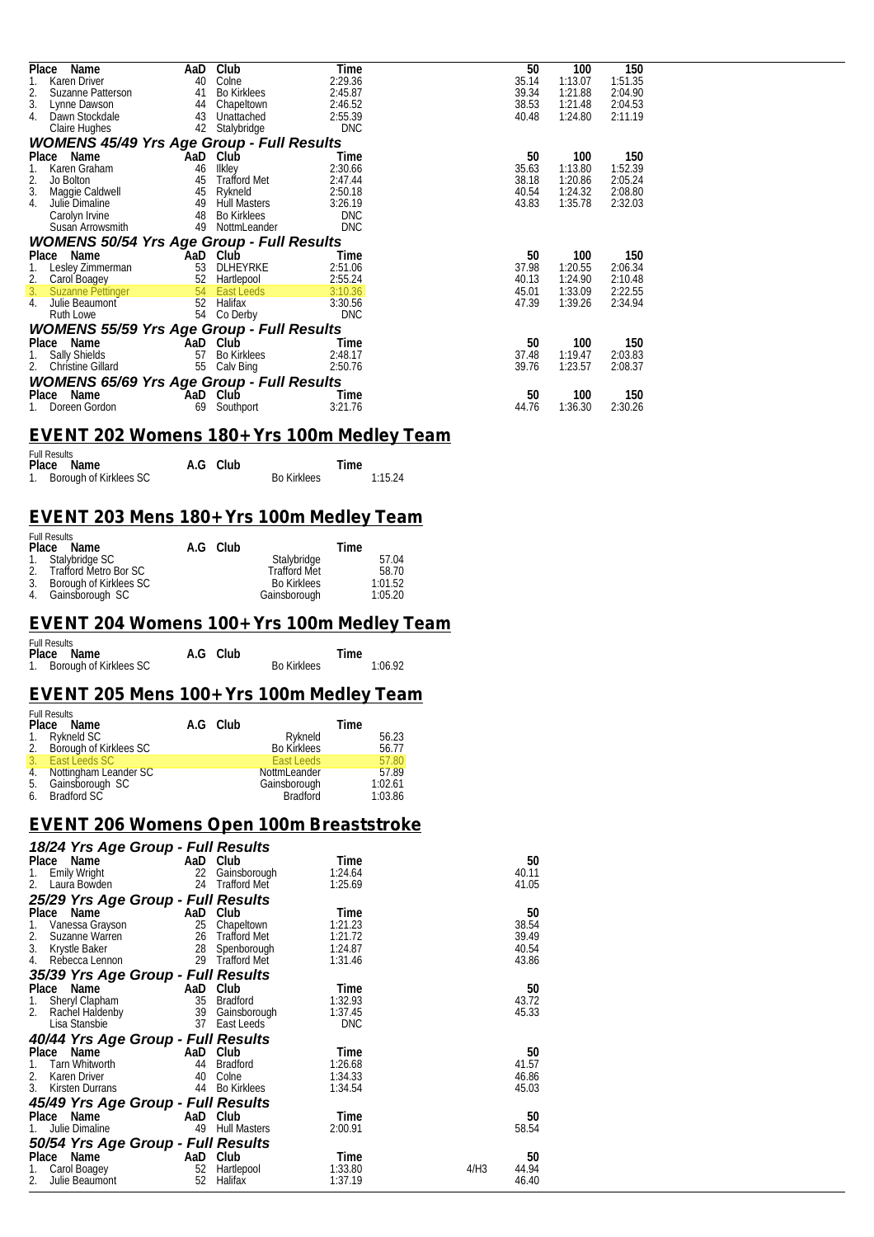| Place<br>Name                                         | AaD | Club                | Time       | 50    | 100     | 150     |
|-------------------------------------------------------|-----|---------------------|------------|-------|---------|---------|
| Karen Driver                                          | 40  | Colne               | 2:29.36    | 35.14 | 1:13.07 | 1:51.35 |
| 2.<br>Suzanne Patterson                               | 41  | <b>Bo Kirklees</b>  | 2:45.87    | 39.34 | 1:21.88 | 2:04.90 |
| 3.<br>Lynne Dawson                                    | 44  | Chapeltown          | 2:46.52    | 38.53 | 1:21.48 | 2:04.53 |
| 4.<br>Dawn Stockdale                                  | 43  | Unattached          | 2:55.39    | 40.48 | 1:24.80 | 2:11.19 |
| Claire Hughes                                         | 42  | Stalybridge         | <b>DNC</b> |       |         |         |
| <b>WOMENS 45/49 Yrs Age Group - Full Results</b>      |     |                     |            |       |         |         |
| Place<br>Name                                         | AaD | Club                | Time       | 50    | 100     | 150     |
| Karen Graham<br>1.                                    | 46  | Ilkley              | 2:30.66    | 35.63 | 1:13.80 | 1:52.39 |
| 2.<br>Jo Bolton                                       | 45  | <b>Trafford Met</b> | 2:47.44    | 38.18 | 1:20.86 | 2:05.24 |
| 3.<br>Maggie Caldwell                                 | 45  | Rykneld             | 2:50.18    | 40.54 | 1:24.32 | 2:08.80 |
| 4.<br>Julie Dimaline                                  | 49  | <b>Hull Masters</b> | 3:26.19    | 43.83 | 1:35.78 | 2:32.03 |
| Carolyn Irvine                                        | 48  | <b>Bo Kirklees</b>  | <b>DNC</b> |       |         |         |
| Susan Arrowsmith                                      | 49  | NottmLeander        | <b>DNC</b> |       |         |         |
| <b>WOMENS 50/54 Yrs Age Group - Full Results</b>      |     |                     |            |       |         |         |
| Place Name                                            |     | AaD Club            | Time       | 50    | 100     | 150     |
| Lesley Zimmerman<br>1.                                | 53  | DLHEYRKE            | 2:51.06    | 37.98 | 1:20.55 | 2:06.34 |
| 2.<br>Carol Boagey                                    | 52  | Hartlepool          | 2:55.24    | 40.13 | 1:24.90 | 2:10.48 |
| 3.<br><b>Suzanne Pettinger</b>                        | 54  | <b>East Leeds</b>   | 3:10.36    | 45.01 | 1:33.09 | 2:22.55 |
| 4.<br>Julie Beaumont                                  | 52  | Halifax             | 3:30.56    | 47.39 | 1:39.26 | 2:34.94 |
| Ruth Lowe                                             | 54  | Co Derby            | <b>DNC</b> |       |         |         |
| <b>WOMENS 55/59 Yrs Age Group - Full Results</b>      |     |                     |            |       |         |         |
| Place<br>Name                                         | AaD | Club                | Time       | 50    | 100     | 150     |
|                                                       | 57  | <b>Bo Kirklees</b>  | 2:48.17    | 37.48 | 1:19.47 | 2:03.83 |
| <b>Sally Shields</b><br>1.<br>2.<br>Christine Gillard | 55  |                     | 2:50.76    | 39.76 | 1:23.57 | 2:08.37 |
|                                                       |     | Calv Bing           |            |       |         |         |
| <b>WOMENS 65/69 Yrs Age Group - Full Results</b>      |     |                     |            |       |         |         |
| Place<br>Name                                         | AaD | Club                | Time       | 50    | 100     | 150     |
| Doreen Gordon                                         | 69  | Southport           | 3:21.76    | 44.76 | 1:36.30 | 2:30.26 |

### *EVENT 202 Womens 180+ Yrs 100m Medley Team*

| <b>Full Results</b>       |          |                    |         |
|---------------------------|----------|--------------------|---------|
| Place Name                | A.G Club |                    | Time    |
| 1. Borough of Kirklees SC |          | <b>Bo Kirklees</b> | 1:15.24 |

#### *EVENT 203 Mens 180+ Yrs 100m Medley Team*

| <b>Full Results</b>       |          |                     |         |
|---------------------------|----------|---------------------|---------|
| Place Name                | A.G Club |                     | Time    |
| 1. Stalybridge SC         |          | Stalybridge         | 57.04   |
| 2. Trafford Metro Bor SC  |          | <b>Trafford Met</b> | 58.70   |
| 3. Borough of Kirklees SC |          | <b>Bo Kirklees</b>  | 1:01.52 |
| 4. Gainsborough SC        |          | Gainsborough        | 1:05.20 |

#### *EVENT 204 Womens 100+ Yrs 100m Medley Team*

| <b>Full Results</b>       |          |                    |         |  |
|---------------------------|----------|--------------------|---------|--|
| Place Name                | A.G Club |                    | Time    |  |
| 1. Borough of Kirklees SC |          | <b>Bo Kirklees</b> | 1:06.92 |  |

#### *EVENT 205 Mens 100+ Yrs 100m Medley Team*

| <b>Full Results</b><br>Place Name | A.G Club |                     | Time    |
|-----------------------------------|----------|---------------------|---------|
| 1. Rykneld SC                     |          | Rvkneld             | 56.23   |
| 2. Borough of Kirklees SC         |          | <b>Bo Kirklees</b>  | 56.77   |
| 3. East Leeds SC                  |          | East Leeds          | 57.80   |
| 4. Nottingham Leander SC          |          | <b>NottmLeander</b> | 57.89   |
| 5. Gainsborough SC                |          | Gainsborough        | 1:02.61 |
| 6. Bradford SC                    |          | <b>Bradford</b>     | 1:03.86 |

### *EVENT 206 Womens Open 100m Breaststroke*

| 18/24 Yrs Age Group - Full Results |     |                     |            |               |
|------------------------------------|-----|---------------------|------------|---------------|
| Place<br>Name                      | AaD | Club                | Time       | 50            |
| 1.<br><b>Emily Wright</b>          | 22  | Gainsborough        | 1:24.64    | 40.11         |
| Laura Bowden<br>2.                 | 24  | <b>Trafford Met</b> | 1:25.69    | 41.05         |
| 25/29 Yrs Age Group - Full Results |     |                     |            |               |
| Name<br>Place                      | AaD | Club                | Time       | 50            |
| 1.<br>Vanessa Grayson              | 25  | Chapeltown          | 1:21.23    | 38.54         |
| 2.<br>Suzanne Warren               | 26  | Trafford Met        | 1:21.72    | 39.49         |
| 3.<br>Krystle Baker                | 28  | Spenborough         | 1:24.87    | 40.54         |
| 4.<br>Rebecca Lennon               | 29  | <b>Trafford Met</b> | 1:31.46    | 43.86         |
| 35/39 Yrs Age Group - Full Results |     |                     |            |               |
| Place<br>Name                      | AaD | Club                | Time       | 50            |
| Sheryl Clapham<br>1.               | 35  | Bradford            | 1:32.93    | 43.72         |
| 2.<br>Rachel Haldenby              | 39  | Gainsborough        | 1:37.45    | 45.33         |
| Lisa Stansbie                      | 37  | East Leeds          | <b>DNC</b> |               |
| 40/44 Yrs Age Group - Full Results |     |                     |            |               |
| Name<br>Place                      | AaD | Club                | Time       | 50            |
| Tarn Whitworth<br>1.               | 44  | Bradford            | 1:26.68    | 41.57         |
| 2.<br>Karen Driver                 | 40  | Colne               | 1:34.33    | 46.86         |
| 3.<br><b>Kirsten Durrans</b>       | 44  | <b>Bo Kirklees</b>  | 1:34.54    | 45.03         |
| 45/49 Yrs Age Group - Full Results |     |                     |            |               |
| Name<br>Place                      | AaD | Club                | Time       | 50            |
| Julie Dimaline<br>1.               | 49  | <b>Hull Masters</b> | 2:00.91    | 58.54         |
| 50/54 Yrs Age Group - Full Results |     |                     |            |               |
| Place<br>Name                      | AaD | Club                | Time       | 50            |
| Carol Boagey<br>1.                 | 52  | Hartlepool          | 1:33.80    | 4/H3<br>44.94 |
| Julie Beaumont<br>2.               | 52  | Halifax             | 1:37.19    | 46.40         |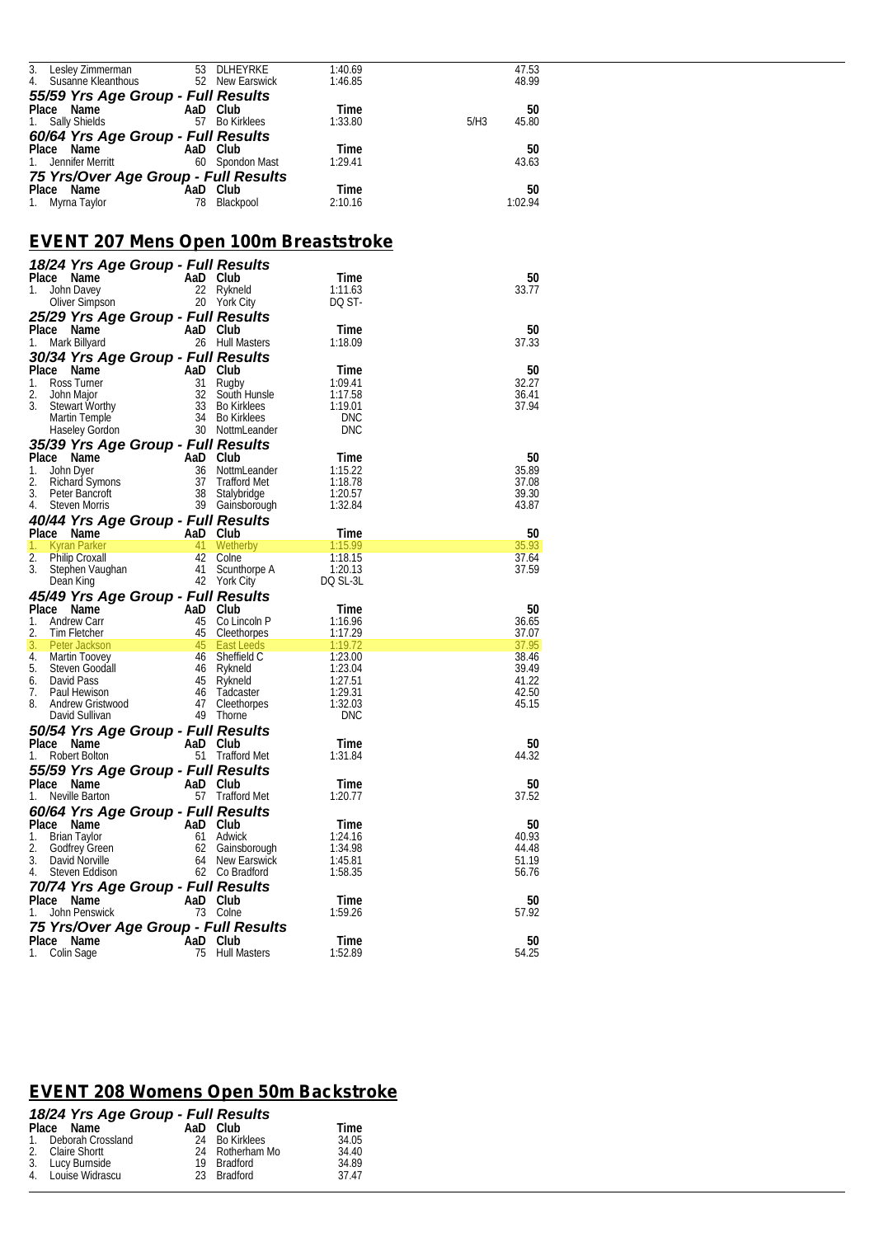| Lesley Zimmerman                                                                                                                                                                    |          | 53 DLHEYRKE                        | 1:40.69            | 47.53<br>48.99      |  |
|-------------------------------------------------------------------------------------------------------------------------------------------------------------------------------------|----------|------------------------------------|--------------------|---------------------|--|
| 4. Susanne Kleanthous                                                                                                                                                               |          | 52 New Earswick                    | 1:46.85            |                     |  |
| 55/59 Yrs Age Group - Full Results                                                                                                                                                  |          |                                    |                    |                     |  |
| Place Name<br>1. Sally Shields                                                                                                                                                      |          | AaD Club<br>57 Bo Kirklees         | Time<br>1:33.80    | 50<br>5/H3<br>45.80 |  |
|                                                                                                                                                                                     |          |                                    |                    |                     |  |
| 60/64 Yrs Age Group - Full Results                                                                                                                                                  |          |                                    |                    |                     |  |
| Place Name<br>1. Jennifer Merritt                                                                                                                                                   |          | AaD Club<br>60 Spondon Mast        | Time<br>1:29.41    | 50<br>43.63         |  |
|                                                                                                                                                                                     |          |                                    |                    |                     |  |
| 75 Yrs/Over Age Group - Full Results                                                                                                                                                |          |                                    |                    | 50                  |  |
| Place Name<br>1. Myrna Taylor                                                                                                                                                       | AaD Club | 78 Blackpool                       | Time<br>2:10.16    | 1:02.94             |  |
|                                                                                                                                                                                     |          |                                    |                    |                     |  |
|                                                                                                                                                                                     |          |                                    |                    |                     |  |
| <u>EVENT 207 Mens Open 100m Breaststroke</u>                                                                                                                                        |          |                                    |                    |                     |  |
| 18/24 Yrs Age Group - Full Results                                                                                                                                                  |          |                                    |                    |                     |  |
| Place Name                                                                                                                                                                          |          | AaD Club                           | Time               | 50                  |  |
| 1. John Davey                                                                                                                                                                       |          | 22 Rykneld                         | 1:11.63            | 33.77               |  |
| Oliver Simpson                                                                                                                                                                      |          | 20 York City                       | DQ ST-             |                     |  |
| 25/29 Yrs Age Group - Full Results                                                                                                                                                  |          |                                    |                    |                     |  |
| Place Name                                                                                                                                                                          |          | AaD Club                           | Time               | 50                  |  |
| 1. Mark Billyard                                                                                                                                                                    |          | 26 Hull Masters                    | 1:18.09            | 37.33               |  |
| 30/34 Yrs Age Group - Full Results                                                                                                                                                  |          |                                    |                    |                     |  |
|                                                                                                                                                                                     |          |                                    | Time               | 50                  |  |
| Place Name<br>1. Ross Turner<br>1. Ross Turner<br>2. John Major<br>3. Stewart Worthy<br>3. Stewart Worthy<br>3. Stewart Worthy<br>3. Bo Kirklees<br>Martin Temple<br>34 Bo Kirklees |          |                                    | 1:09.41            | 32.27               |  |
|                                                                                                                                                                                     |          | 32 South Hunsle                    | 1:17.58            | 36.41               |  |
|                                                                                                                                                                                     |          |                                    | 1:19.01            | 37.94               |  |
|                                                                                                                                                                                     |          |                                    | <b>DNC</b>         |                     |  |
| <b>Haseley Gordon</b>                                                                                                                                                               |          | 30 NottmLeander                    | <b>DNC</b>         |                     |  |
| 35/39 Yrs Age Group - Full Results                                                                                                                                                  |          |                                    |                    |                     |  |
| Place Name                                                                                                                                                                          |          |                                    | Time               | 50                  |  |
| Ce Name<br>John Dyer<br>Richard Symons<br>Steven Morris 39 Stalybe<br>Steven Morris 39 Stalybe<br>28 Stalybe<br>28 Stalybe<br>29 Stalybe<br>39 Stalybe<br>John Dyer<br>1.           |          | 36 NottmLeander                    | 1:15.22            | 35.89               |  |
| 2.                                                                                                                                                                                  |          | 37 Trafford Met                    | 1:18.78            | 37.08               |  |
| 3. Peter Bancroft                                                                                                                                                                   |          | 38 Stalybridge                     | 1:20.57            | 39.30               |  |
| 4. Steven Morris                                                                                                                                                                    |          | 39 Gainsborough                    | 1:32.84            | 43.87               |  |
| 40/44 Yrs Age Group - Full Results                                                                                                                                                  |          |                                    |                    |                     |  |
| Place Name<br>AaD Club                                                                                                                                                              |          |                                    | Time               | 50                  |  |
| Kyran Parker<br>1.                                                                                                                                                                  |          | <b>41 Wetherby</b>                 | 1:15.99            | 35.93               |  |
| 2. Philip Croxall                                                                                                                                                                   |          | 42 Colne                           | 1:18.15            | 37.64               |  |
| 3. Stephen Vaughan                                                                                                                                                                  |          | 41 Scunthorpe A                    | 1:20.13            | 37.59               |  |
| Dean King                                                                                                                                                                           |          | 42 York City                       | DQ SL-3L           |                     |  |
| 45/49 Yrs Age Group - Full Results                                                                                                                                                  |          |                                    |                    |                     |  |
| Place Name<br>AaD Club<br>45 Co Lin<br>45 Cleeth                                                                                                                                    |          |                                    | Time               | 50                  |  |
| Andrew Carr<br>1.                                                                                                                                                                   |          | 45 Co Lincoln P                    | 1:16.96            | 36.65               |  |
| 2.<br>Tim Fletcher                                                                                                                                                                  |          | 45 Cleethorpes                     | 1:17.29            | 37.07               |  |
| 3.<br>Peter Jackson                                                                                                                                                                 |          | 45 East Leeds                      | 1:19.72            | 37.95<br>38.46      |  |
| 4. Martin Toovey<br>5.<br>Steven Goodall                                                                                                                                            |          | 46 Sheffield C<br>46 Rykneld       | 1:23.00<br>1:23.04 | 39.49               |  |
| 6. David Pass                                                                                                                                                                       |          | 45 Rykneld                         | 1:27.51            | 41.22               |  |
| 7.<br>Paul Hewison                                                                                                                                                                  |          | 46 Tadcaster                       | 1:29.31            | 42.50               |  |
| Andrew Gristwood                                                                                                                                                                    |          | 47 Cleethorpes                     | 1:32.03            | 45.15               |  |
| David Sullivan                                                                                                                                                                      |          | 49 Thorne                          | DNC                |                     |  |
| 50/54 Yrs Age Group - Full Results                                                                                                                                                  |          |                                    |                    |                     |  |
| Place Name                                                                                                                                                                          |          | AaD Club                           | Time               | 50                  |  |
| 1. Robert Bolton                                                                                                                                                                    |          | 51 Trafford Met                    | 1:31.84            | 44.32               |  |
| 55/59 Yrs Age Group - Full Results                                                                                                                                                  |          |                                    |                    |                     |  |
| Place Name                                                                                                                                                                          |          | AaD Club                           | Time               | 50                  |  |
| 1. Neville Barton                                                                                                                                                                   |          | 57 Trafford Met                    | 1:20.77            | 37.52               |  |
|                                                                                                                                                                                     |          |                                    |                    |                     |  |
| 60/64 Yrs Age Group - Full Results                                                                                                                                                  |          |                                    |                    |                     |  |
| Place Name                                                                                                                                                                          |          | AaD Club                           | Time               | 50                  |  |
| 1. Brian Taylor                                                                                                                                                                     |          | 61 Adwick                          | 1:24.16            | 40.93<br>44.48      |  |
| 2.<br><b>Godfrey Green</b><br>3. David Norville                                                                                                                                     |          | 62 Gainsborough<br>64 New Earswick | 1:34.98<br>1:45.81 | 51.19               |  |
| 4. Steven Eddison                                                                                                                                                                   |          | 62 Co Bradford                     | 1:58.35            | 56.76               |  |
|                                                                                                                                                                                     |          |                                    |                    |                     |  |
| 70/74 Yrs Age Group - Full Results                                                                                                                                                  |          |                                    |                    |                     |  |
| Place Name                                                                                                                                                                          |          | AaD Club                           | Time               | 50                  |  |
| 1. John Penswick                                                                                                                                                                    |          | 73 Colne                           | 1:59.26            | 57.92               |  |
| 75 Yrs/Over Age Group - Full Results                                                                                                                                                |          |                                    |                    |                     |  |
| Place Name                                                                                                                                                                          |          | AaD Club                           | Time               | 50                  |  |
| 1. Colin Sage                                                                                                                                                                       |          | 75 Hull Masters                    | 1:52.89            | 54.25               |  |
|                                                                                                                                                                                     |          |                                    |                    |                     |  |

#### *EVENT 208 Womens Open 50m Backstroke*

| 18/24 Yrs Age Group - Full Results |                 |       |  |
|------------------------------------|-----------------|-------|--|
| Place Name                         | AaD Club        | Time  |  |
| 1. Deborah Crossland               | 24 Bo Kirklees  | 34.05 |  |
| 2. Claire Shortt                   | 24 Rotherham Mo | 34.40 |  |
| 3. Lucy Burnside                   | 19 Bradford     | 34.89 |  |
| 4. Louise Widrascu                 | 23 Bradford     | 37.47 |  |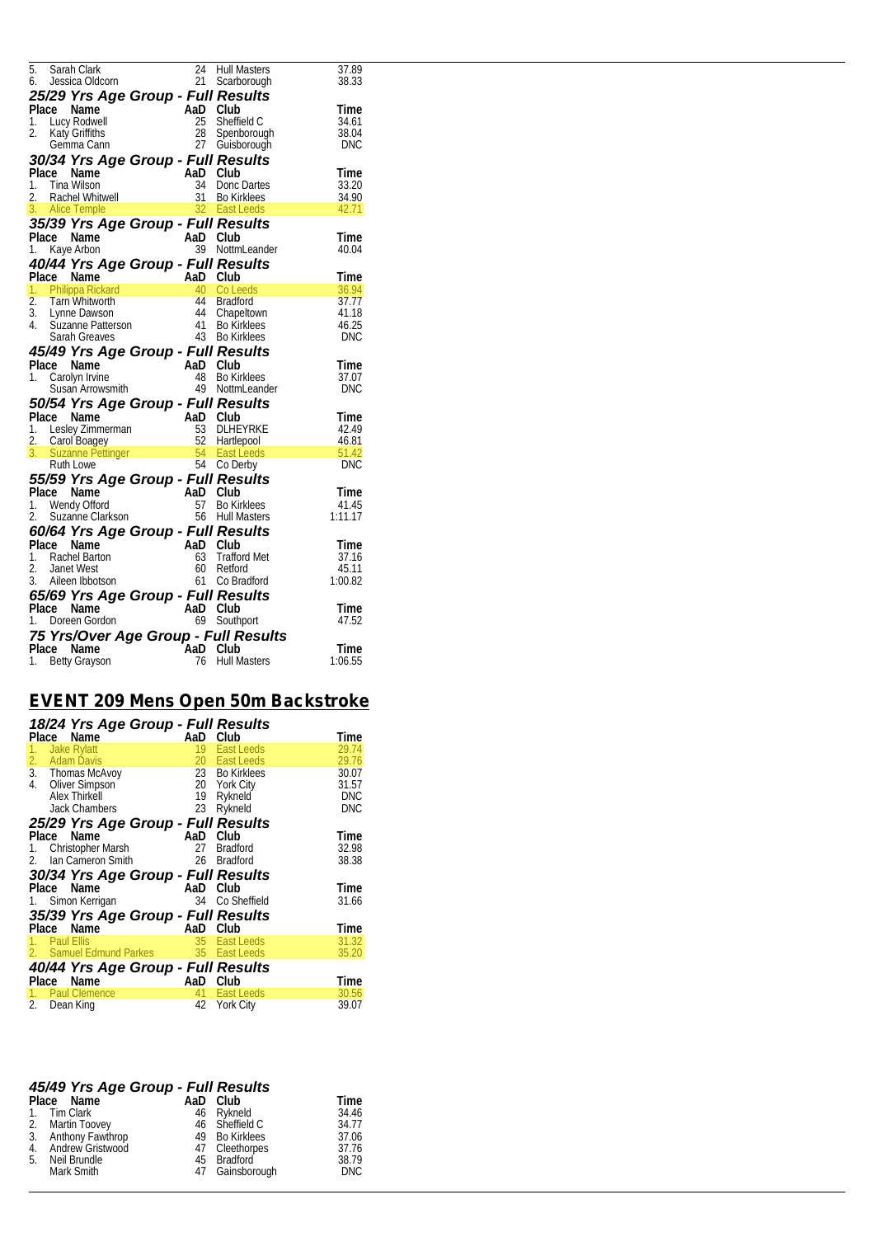| 5. Sarah Clark 24 Hull Masters 37.89<br>6. Jessica Oldcom 21 Scarborough 38.33<br><b>25/29 Yrs Age Group - Full Results</b><br>Place Name AaD Club Time<br>1. Lucy Rodwell 25 Sheffield C 34.61<br>2. Katy Griffiths 28 Spenborough 38.04<br>6         |  |  |
|--------------------------------------------------------------------------------------------------------------------------------------------------------------------------------------------------------------------------------------------------------|--|--|
|                                                                                                                                                                                                                                                        |  |  |
|                                                                                                                                                                                                                                                        |  |  |
|                                                                                                                                                                                                                                                        |  |  |
|                                                                                                                                                                                                                                                        |  |  |
|                                                                                                                                                                                                                                                        |  |  |
|                                                                                                                                                                                                                                                        |  |  |
|                                                                                                                                                                                                                                                        |  |  |
|                                                                                                                                                                                                                                                        |  |  |
|                                                                                                                                                                                                                                                        |  |  |
|                                                                                                                                                                                                                                                        |  |  |
|                                                                                                                                                                                                                                                        |  |  |
|                                                                                                                                                                                                                                                        |  |  |
|                                                                                                                                                                                                                                                        |  |  |
| 1. Kaye Arbon<br>1. Paye Arbon<br>2. Tam Whitworth<br>2. Tam Whitworth<br>1. Philippa Rickard<br>2. Tam Whitworth<br>3. Lynne Dawson<br>4. Suzanne Patterson<br>4. Suzanne Patterson<br>4. Suzanne Patterson<br>4. Suzanne Patterson<br>4. Bo Kirkle   |  |  |
|                                                                                                                                                                                                                                                        |  |  |
|                                                                                                                                                                                                                                                        |  |  |
|                                                                                                                                                                                                                                                        |  |  |
|                                                                                                                                                                                                                                                        |  |  |
|                                                                                                                                                                                                                                                        |  |  |
| Susan Arrowsmith 49 NottmLeander<br>Face Name AaD Club<br>Place Name AaD Club<br>2. Carol Boagey<br>2. Carol Boagey<br>3. Suzanne Pettinger<br>54 East Leeds<br>54 East Leeds<br>54 East Leeds<br>54 East Leeds<br>54 East Leeds<br>54 East Leeds<br>5 |  |  |
|                                                                                                                                                                                                                                                        |  |  |
|                                                                                                                                                                                                                                                        |  |  |
|                                                                                                                                                                                                                                                        |  |  |
|                                                                                                                                                                                                                                                        |  |  |
|                                                                                                                                                                                                                                                        |  |  |
|                                                                                                                                                                                                                                                        |  |  |
|                                                                                                                                                                                                                                                        |  |  |
|                                                                                                                                                                                                                                                        |  |  |
| <b>60/64 Yrs Age Group - Full Results</b><br>Place Name AaD Club<br>1. Rachel Barton 63 Trafford Met<br>2. Janet West 60 Reford 45.11<br>3. Alleen Ibbotson 61 Co Bractific 1:00.82                                                                    |  |  |
|                                                                                                                                                                                                                                                        |  |  |
| <b>65/69 Yrs Age Group - Full Results</b><br>Place Name AaD Club Time<br>1. Doreen Gordon 69 Southport 47.52                                                                                                                                           |  |  |
|                                                                                                                                                                                                                                                        |  |  |
|                                                                                                                                                                                                                                                        |  |  |
| <b>75 Yrs/Over Age Group - Full Results</b><br>Place Name AaD Club<br>1. Betty Grayson 16 Hull Masters 1:06.55                                                                                                                                         |  |  |
|                                                                                                                                                                                                                                                        |  |  |
|                                                                                                                                                                                                                                                        |  |  |

### *EVENT 209 Mens Open 50m Backstroke*

| 18/24 Yrs Age Group - Full Results       |     |                 |            |
|------------------------------------------|-----|-----------------|------------|
| Place<br>Name                            | AaD | Club            | Time       |
| <b>Jake Rylatt</b><br>1.                 | 19  | East Leeds      | 29.74      |
| 2.<br><b>Adam Davis</b>                  | 20  | East Leeds      | 29.76      |
| 3.<br>Thomas McAvoy                      |     | 23 Bo Kirklees  | 30.07      |
| 4.<br><b>Oliver Simpson</b>              | 20  | York City       | 31.57      |
| Alex Thirkell                            | 19  | Rykneld         | <b>DNC</b> |
| <b>Jack Chambers</b>                     | 23  | Rykneld         | <b>DNC</b> |
| 25/29 Yrs Age Group - Full Results       |     |                 |            |
| Place<br>Name                            | AaD | Club            | Time       |
| 1. Christopher Marsh                     | 27  | <b>Bradford</b> | 32.98      |
| Ian Cameron Smith<br>2.                  | 26  | Bradford        | 38.38      |
| 30/34 Yrs Age Group - Full Results       |     |                 |            |
| Name<br>Place                            | AaD | Club            | Time       |
| 1. Simon Kerrigan                        | 34  | Co Sheffield    | 31.66      |
| 35/39 Yrs Age Group - Full Results       |     |                 |            |
| Name<br>Place                            | AaD | Club            | Time       |
| Paul Ellis                               | 35  | East Leeds      | 31.32      |
| Samuel Edmund Parkes 35 East Leeds<br>2. |     |                 | 35.20      |
| 40/44 Yrs Age Group - Full Results       |     |                 |            |
| Place<br>Name                            | AaD | Club            | Time       |
| <b>Paul Clemence</b>                     | 41  | East Leeds      | 30.56      |
| 2.<br>Dean King                          | 42  | York City       | 39.07      |

|    | 45/49 Yrs Age Group - Full Results |                 |            |
|----|------------------------------------|-----------------|------------|
|    | Place Name                         | AaD Club        | Time       |
|    | 1. Tim Clark                       | 46 Rykneld      | 34.46      |
|    | 2. Martin Toovey                   | 46 Sheffield C  | 34.77      |
|    | 3. Anthony Fawthrop                | 49 Bo Kirklees  | 37.06      |
|    | 4. Andrew Gristwood                | 47 Cleethorpes  | 37.76      |
| 5. | Neil Brundle                       | 45 Bradford     | 38.79      |
|    | Mark Smith                         | 47 Gainsborough | <b>DNC</b> |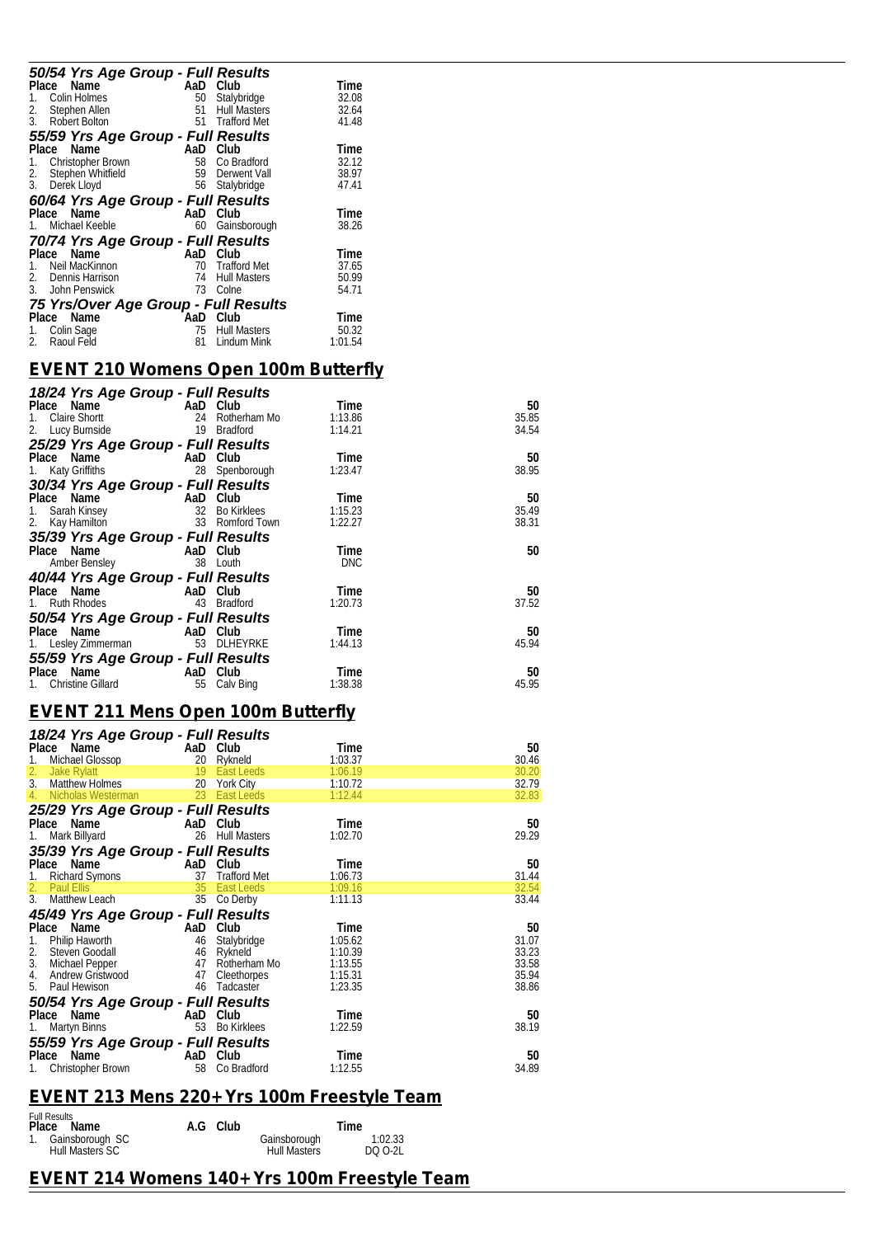| 50/54 Yrs Age Group - Full Results   |     |                     |         |  |  |
|--------------------------------------|-----|---------------------|---------|--|--|
| Place Name                           | AaD | Club                | Time    |  |  |
| Colin Holmes                         | 50  | Stalybridge         | 32.08   |  |  |
| 2.<br>Stephen Allen                  | 51  | <b>Hull Masters</b> | 32.64   |  |  |
| 3.<br>Robert Bolton                  | 51  | <b>Trafford Met</b> | 41.48   |  |  |
| 55/59 Yrs Age Group - Full Results   |     |                     |         |  |  |
| Place<br>Name                        | AaD | Club                | Time    |  |  |
| Christopher Brown<br>1.              | 58  | Co Bradford         | 32.12   |  |  |
| Stephen Whitfield<br>2.              | 59  | Derwent Vall        | 38.97   |  |  |
| 3.<br>Derek Lloyd                    |     | 56 Stalybridge      | 47.41   |  |  |
| 60/64 Yrs Age Group - Full Results   |     |                     |         |  |  |
| Name<br>Place                        | AaD | Club                | Time    |  |  |
| Michael Keeble                       | 60  | Gainsborough        | 38.26   |  |  |
| 70/74 Yrs Age Group - Full Results   |     |                     |         |  |  |
| Name<br>Place                        | AaD | Club                | Time    |  |  |
| Neil MacKinnon                       | 70  | <b>Trafford Met</b> | 37.65   |  |  |
| Dennis Harrison<br>2.                | 74  | <b>Hull Masters</b> | 50.99   |  |  |
| 3.<br>John Penswick                  | 73  | Colne               | 54.71   |  |  |
| 75 Yrs/Over Age Group - Full Results |     |                     |         |  |  |
| Place Name                           | AaD | Club                | Time    |  |  |
| Colin Sage<br>1.                     | 75  | Hull Masters        | 50.32   |  |  |
| Raoul Feld<br>2.                     | 81  | Lindum Mink         | 1:01.54 |  |  |
|                                      |     |                     |         |  |  |

### *EVENT 210 Womens Open 100m Butterfly*

| 18/24 Yrs Age Group - Full Results |          |              |            |       |
|------------------------------------|----------|--------------|------------|-------|
| Place Name                         | AaD Club |              | Time       | 50    |
| Claire Shortt<br>1.                | 24       | Rotherham Mo | 1:13.86    | 35.85 |
| 2.<br>Lucy Burnside                | 19       | Bradford     | 1:14.21    | 34.54 |
| 25/29 Yrs Age Group - Full Results |          |              |            |       |
| Place Name                         | AaD      | Club         | Time       | 50    |
| Katy Griffiths<br>1.               | 28       | Spenborough  | 1:23.47    | 38.95 |
| 30/34 Yrs Age Group - Full Results |          |              |            |       |
| Place Name                         | AaD      | Club         | Time       | 50    |
| Sarah Kinsey<br>1.                 | 32       | Bo Kirklees  | 1:15.23    | 35.49 |
| Kay Hamilton<br>2.                 | 33       | Romford Town | 1:22.27    | 38.31 |
| 35/39 Yrs Age Group - Full Results |          |              |            |       |
| Place Name                         | AaD Club |              | Time       | 50    |
| Amber Bensley                      |          | 38 Louth     | <b>DNC</b> |       |
| 40/44 Yrs Age Group - Full Results |          |              |            |       |
| Place Name                         | AaD Club |              | Time       | 50    |
| Ruth Rhodes<br>1.                  | 43       | Bradford     | 1:20.73    | 37.52 |
| 50/54 Yrs Age Group - Full Results |          |              |            |       |
| Place Name                         | AaD Club |              | Time       | 50    |
| 1. Lesley Zimmerman                | 53       | DLHEYRKE     | 1:44.13    | 45.94 |
| 55/59 Yrs Age Group - Full Results |          |              |            |       |
| Name<br>Place                      | AaD      | Club         | Time       | 50    |
| <b>Christine Gillard</b><br>1.     | 55       | Calv Bing    | 1:38.38    | 45.95 |

### *EVENT 211 Mens Open 100m Butterfly*

| 18/24 Yrs Age Group - Full Results        |          |                     |         |       |
|-------------------------------------------|----------|---------------------|---------|-------|
| Name<br>Place                             | AaD      | Club                | Time    | 50    |
| Michael Glossop<br>1.                     | 20       | Rykneld             | 1:03.37 | 30.46 |
| 2.<br>Jake Rylatt                         | 19       | East Leeds          | 1:06.19 | 30.20 |
| $\overline{3}$ .<br><b>Matthew Holmes</b> | 20       | York City           | 1:10.72 | 32.79 |
| Nicholas Westerman<br>4.                  | 23       | East Leeds          | 1:12.44 | 32.83 |
| 25/29 Yrs Age Group - Full Results        |          |                     |         |       |
| Place Name                                | AaD      | Club                | Time    | 50    |
| Mark Billyard                             | 26       | <b>Hull Masters</b> | 1:02.70 | 29.29 |
| 35/39 Yrs Age Group - Full Results        |          |                     |         |       |
| Place<br>Name                             | AaD      | Club                | Time    | 50    |
| 1.                                        | 37       | <b>Trafford Met</b> | 1:06.73 |       |
| <b>Richard Symons</b><br>2.               |          | East Leeds          |         | 31.44 |
| <b>Paul Ellis</b><br>3.                   | 35<br>35 |                     | 1:09.16 | 32.54 |
| Matthew Leach                             |          | Co Derby            | 1:11.13 | 33.44 |
| 45/49 Yrs Age Group - Full Results        |          |                     |         |       |
| Place Name                                | AaD      | Club                | Time    | 50    |
| Philip Haworth<br>1.                      | 46       | Stalybridge         | 1:05.62 | 31.07 |
| 2.<br>Steven Goodall                      | 46       | Rykneld             | 1:10.39 | 33.23 |
| 3.<br>Michael Pepper                      | 47       | Rotherham Mo        | 1:13.55 | 33.58 |
| 4.<br>Andrew Gristwood                    | 47       | Cleethorpes         | 1:15.31 | 35.94 |
| 5.<br>Paul Hewison                        | 46       | Tadcaster           | 1:23.35 | 38.86 |
| 50/54 Yrs Age Group - Full Results        |          |                     |         |       |
| Place<br>Name                             | AaD      | Club                | Time    | 50    |
| 1.<br>Martyn Binns                        | 53       | <b>Bo Kirklees</b>  | 1:22.59 | 38.19 |
| 55/59 Yrs Age Group - Full Results        |          |                     |         |       |
| Place<br>Name                             | AaD      | Club                | Time    | 50    |
| Christopher Brown<br>1.                   | 58       | Co Bradford         | 1:12.55 | 34.89 |

### *EVENT 213 Mens 220+ Yrs 100m Freestyle Team*

| <b>Full Results</b><br>Place Name     | A.G Club |                                     | Time               |
|---------------------------------------|----------|-------------------------------------|--------------------|
| 1. Gainsborough SC<br>Hull Masters SC |          | Gainsborough<br><b>Hull Masters</b> | 1:02.33<br>DO 0-21 |

### *EVENT 214 Womens 140+ Yrs 100m Freestyle Team*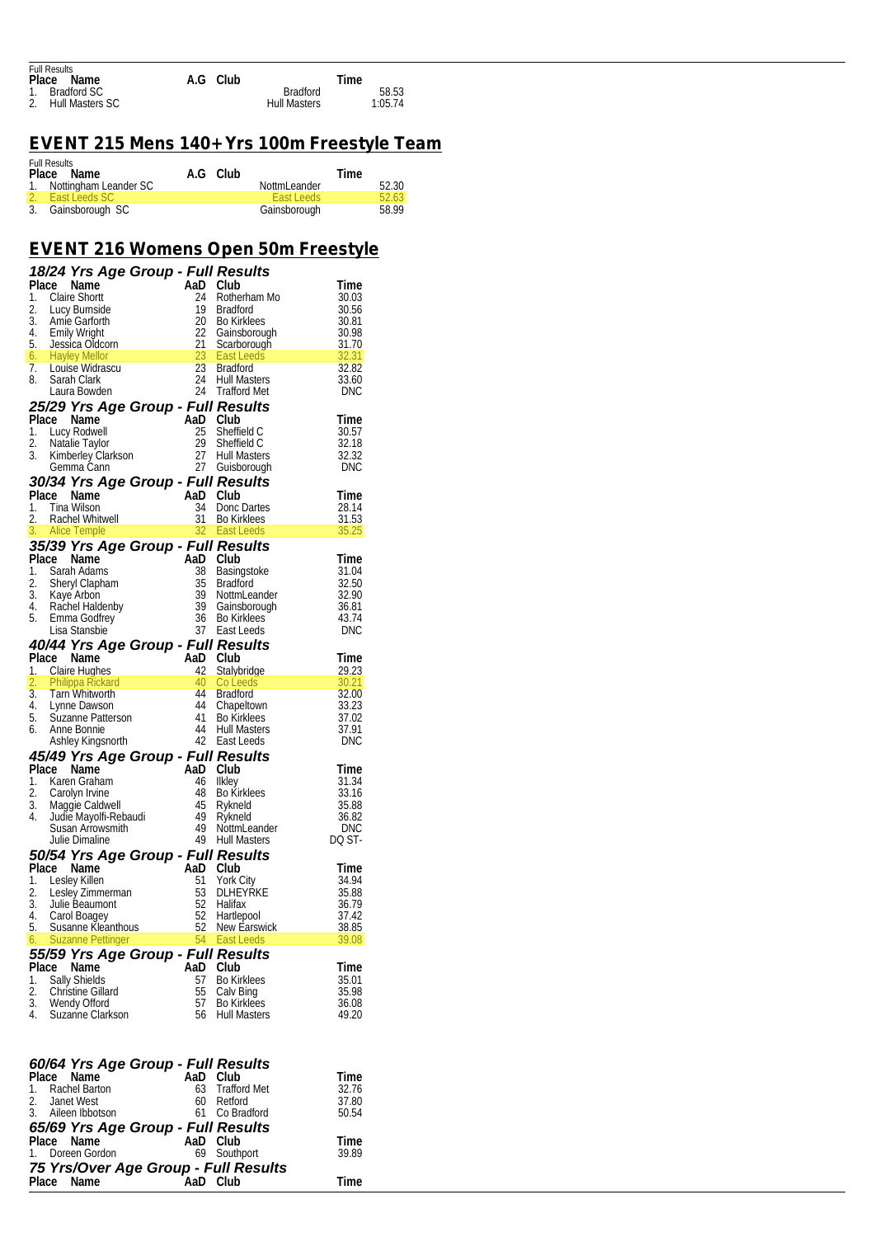| <b>Full Results</b> |          |                                |
|---------------------|----------|--------------------------------|
| Place<br>Name       | A.G Club | Time                           |
| 1. Bradford SC      |          | <b>Bradford</b><br>58.53       |
| 2. Hull Masters SC  |          | <b>Hull Masters</b><br>1:05.74 |

## *EVENT 215 Mens 140+ Yrs 100m Freestyle Team*

| <b>Full Results</b><br>Place Name | A.G Club |                   | Time  |
|-----------------------------------|----------|-------------------|-------|
| 1. Nottingham Leander SC          |          | NottmLeander      | 52.30 |
| 2. East Leeds SC                  |          | <b>East Leeds</b> | 52.63 |
| 3. Gainsborough SC                |          | Gainsborough      | 58.99 |

### *EVENT 216 Womens Open 50m Freestyle*

|                                                  |                          |    |                                       | 18/24 Yrs Age Group - Full Results<br>Place Name AaD Club<br>1. Claire Shott 24 Rotherham Mo<br>2. Lucy Burnside 19 Bradford 30.03<br>3. Amie Garforth 20 Bo Kirklees 30.81<br>4. Emily Wright 22 Gainsborough 30.98<br>6. Hayley Mellor 2                 |
|--------------------------------------------------|--------------------------|----|---------------------------------------|------------------------------------------------------------------------------------------------------------------------------------------------------------------------------------------------------------------------------------------------------------|
|                                                  |                          |    |                                       |                                                                                                                                                                                                                                                            |
|                                                  |                          |    |                                       |                                                                                                                                                                                                                                                            |
|                                                  |                          |    |                                       |                                                                                                                                                                                                                                                            |
|                                                  |                          |    |                                       |                                                                                                                                                                                                                                                            |
|                                                  |                          |    |                                       |                                                                                                                                                                                                                                                            |
|                                                  |                          |    |                                       |                                                                                                                                                                                                                                                            |
|                                                  |                          |    |                                       |                                                                                                                                                                                                                                                            |
|                                                  |                          |    |                                       |                                                                                                                                                                                                                                                            |
|                                                  |                          |    |                                       |                                                                                                                                                                                                                                                            |
|                                                  |                          |    |                                       |                                                                                                                                                                                                                                                            |
|                                                  |                          |    |                                       |                                                                                                                                                                                                                                                            |
|                                                  |                          |    |                                       |                                                                                                                                                                                                                                                            |
|                                                  |                          |    |                                       |                                                                                                                                                                                                                                                            |
|                                                  |                          |    |                                       |                                                                                                                                                                                                                                                            |
|                                                  |                          |    |                                       |                                                                                                                                                                                                                                                            |
|                                                  |                          |    |                                       |                                                                                                                                                                                                                                                            |
|                                                  |                          |    |                                       |                                                                                                                                                                                                                                                            |
|                                                  |                          |    |                                       |                                                                                                                                                                                                                                                            |
|                                                  |                          |    |                                       |                                                                                                                                                                                                                                                            |
|                                                  |                          |    |                                       | 3. Kiniburely Clarkson<br>Gemma Cann<br>27 Guisborough<br>127 Guisborough<br>10NC<br>10NC<br>12 Guisborough<br>12 Guisborough<br>12 Guisborough<br>12 Guisborough<br>13 Bo Kirklees<br>2. Rachel Whitwell<br>2. Rachel Whitwell<br>2. Rachel Whitwell<br>1 |
|                                                  |                          |    |                                       |                                                                                                                                                                                                                                                            |
|                                                  |                          |    |                                       |                                                                                                                                                                                                                                                            |
|                                                  |                          |    |                                       |                                                                                                                                                                                                                                                            |
|                                                  |                          |    |                                       |                                                                                                                                                                                                                                                            |
|                                                  |                          |    |                                       |                                                                                                                                                                                                                                                            |
|                                                  |                          |    |                                       |                                                                                                                                                                                                                                                            |
|                                                  |                          |    |                                       |                                                                                                                                                                                                                                                            |
|                                                  |                          |    |                                       |                                                                                                                                                                                                                                                            |
|                                                  |                          |    |                                       |                                                                                                                                                                                                                                                            |
|                                                  |                          |    |                                       |                                                                                                                                                                                                                                                            |
|                                                  |                          |    |                                       |                                                                                                                                                                                                                                                            |
|                                                  |                          |    |                                       |                                                                                                                                                                                                                                                            |
|                                                  |                          |    |                                       |                                                                                                                                                                                                                                                            |
|                                                  |                          |    |                                       |                                                                                                                                                                                                                                                            |
|                                                  |                          |    |                                       |                                                                                                                                                                                                                                                            |
|                                                  |                          |    |                                       |                                                                                                                                                                                                                                                            |
|                                                  |                          |    |                                       |                                                                                                                                                                                                                                                            |
|                                                  |                          |    |                                       |                                                                                                                                                                                                                                                            |
|                                                  |                          |    |                                       |                                                                                                                                                                                                                                                            |
|                                                  |                          |    |                                       | Ashley Kingsnorth 42 East Leeds DNC<br><b>45/49 Yrs Age Group - Full Results</b><br>Place Name AaD Club Time<br>1. Karen Graham 46 Ilkley<br>3. Carolyn Irvine<br>3. Maggie Caldwell<br>48 Bo Kirklees 33.13<br>49 Rykneld<br>49 Rykneld<br>49 NottmL      |
|                                                  |                          |    |                                       |                                                                                                                                                                                                                                                            |
|                                                  |                          |    |                                       |                                                                                                                                                                                                                                                            |
|                                                  |                          |    |                                       |                                                                                                                                                                                                                                                            |
| 4. Carol Boagey                                  |                          |    |                                       | 52 Hartlepool 37.42                                                                                                                                                                                                                                        |
|                                                  |                          |    | 5. Susanne Kleanthous 52 New Earswick | 38.85                                                                                                                                                                                                                                                      |
| 6.                                               | <b>Suzanne Pettinger</b> |    | 54 East Leeds                         | 39.08                                                                                                                                                                                                                                                      |
| 55/59 Yrs Age Group - Full Results               |                          |    |                                       |                                                                                                                                                                                                                                                            |
| Place Name<br>Sally Shields                      |                          | 57 | AaD Club<br><b>Bo Kirklees</b>        | Time                                                                                                                                                                                                                                                       |
| 1.<br>2.<br>Christine Gillard                    |                          | 55 | Calv Bing                             | 35.01<br>35.98                                                                                                                                                                                                                                             |
| 3. Wendy Offord                                  |                          | 57 | Bo Kirklees                           | 36.08                                                                                                                                                                                                                                                      |
| 4. Suzanne Clarkson                              |                          | 56 | <b>Hull Masters</b>                   | 49.20                                                                                                                                                                                                                                                      |
|                                                  |                          |    |                                       |                                                                                                                                                                                                                                                            |
|                                                  |                          |    |                                       |                                                                                                                                                                                                                                                            |
| 60/64 Yrs Age Group - Full Results               |                          |    |                                       |                                                                                                                                                                                                                                                            |
| Place Name                                       |                          |    | AaD Club                              | Time                                                                                                                                                                                                                                                       |
| Rachel Barton<br>1.                              |                          | 63 | <b>Trafford Met</b>                   | 32.76                                                                                                                                                                                                                                                      |
| 2.<br>Janet West                                 |                          | 60 | Retford                               | 37.80                                                                                                                                                                                                                                                      |
| 3.<br>Aileen Ibbotson                            |                          |    | 61 Co Bradford                        | 50.54                                                                                                                                                                                                                                                      |
| 65/69 Yrs Age Group - Full Results<br>Place Name |                          |    | AaD Club                              | Time                                                                                                                                                                                                                                                       |
| 1. Doreen Gordon                                 |                          | 69 | Southport                             | 39.89                                                                                                                                                                                                                                                      |

*75 Yrs/Over Age Group - Full Results* 

**Place Name AaD Club Time**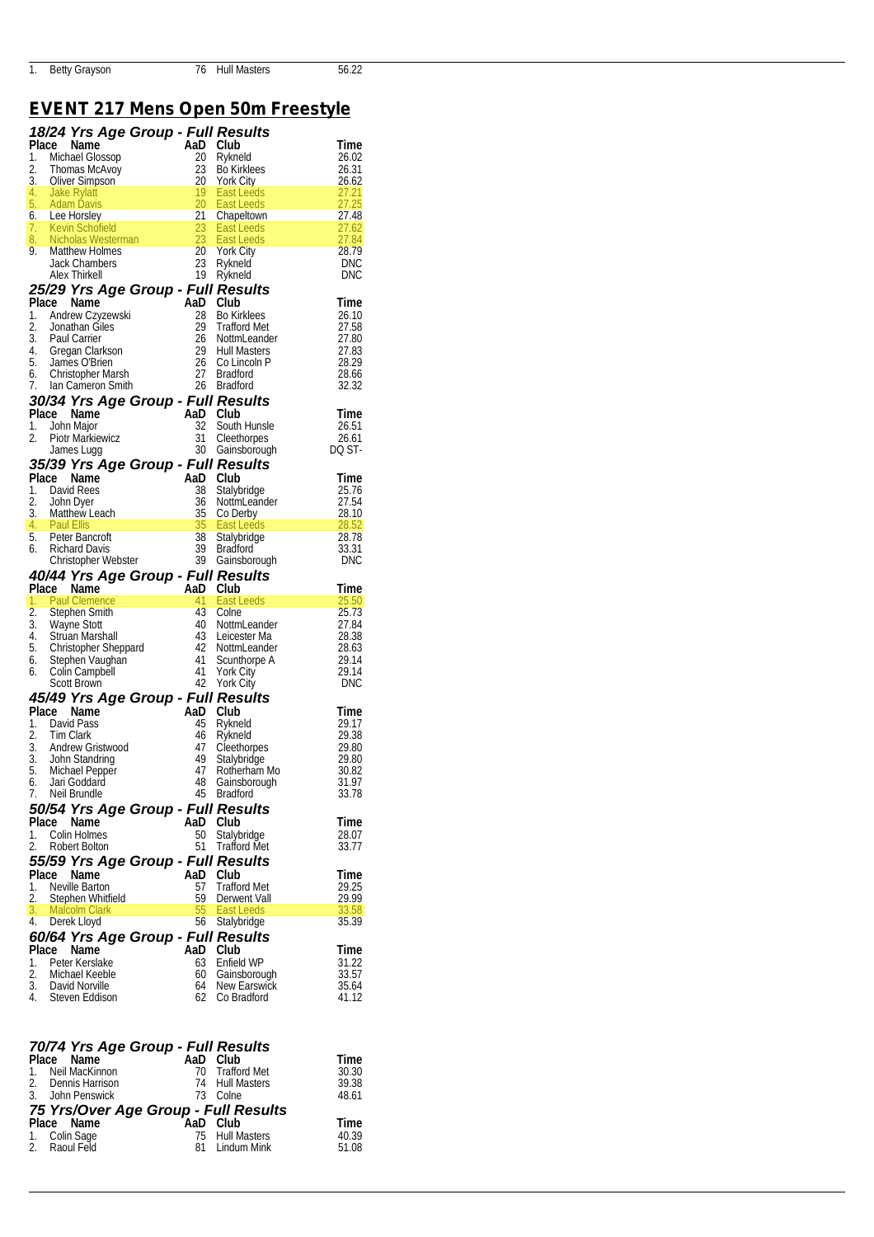# *EVENT 217 Mens Open 50m Freestyle*

|             | 18/24 Yrs Age Group - Full Results<br>18/24 Yrs Age Group - Full Results<br>1. Michael Glossop<br>2. Thomas McAvoy<br>2. Show 2.3 Bo Kirklees<br>2. Show 2.3 Bo Kirklees<br>4. Jake Rylati<br>4. Jake Rylati<br>4. Jake Rylati<br>5. Adam Davis<br> |           |                             |                |  |
|-------------|-----------------------------------------------------------------------------------------------------------------------------------------------------------------------------------------------------------------------------------------------------|-----------|-----------------------------|----------------|--|
|             |                                                                                                                                                                                                                                                     |           |                             |                |  |
|             |                                                                                                                                                                                                                                                     |           |                             |                |  |
|             |                                                                                                                                                                                                                                                     |           |                             |                |  |
|             |                                                                                                                                                                                                                                                     |           |                             |                |  |
|             |                                                                                                                                                                                                                                                     |           |                             |                |  |
|             |                                                                                                                                                                                                                                                     |           |                             |                |  |
|             |                                                                                                                                                                                                                                                     |           |                             |                |  |
|             |                                                                                                                                                                                                                                                     |           |                             |                |  |
|             |                                                                                                                                                                                                                                                     |           |                             |                |  |
|             |                                                                                                                                                                                                                                                     |           |                             |                |  |
|             |                                                                                                                                                                                                                                                     |           |                             |                |  |
|             |                                                                                                                                                                                                                                                     |           |                             |                |  |
|             |                                                                                                                                                                                                                                                     |           |                             |                |  |
|             |                                                                                                                                                                                                                                                     |           |                             |                |  |
|             |                                                                                                                                                                                                                                                     |           |                             |                |  |
|             |                                                                                                                                                                                                                                                     |           |                             |                |  |
|             |                                                                                                                                                                                                                                                     |           |                             |                |  |
|             |                                                                                                                                                                                                                                                     |           |                             |                |  |
|             |                                                                                                                                                                                                                                                     |           |                             |                |  |
|             |                                                                                                                                                                                                                                                     |           |                             |                |  |
|             |                                                                                                                                                                                                                                                     |           |                             |                |  |
|             |                                                                                                                                                                                                                                                     |           |                             |                |  |
|             |                                                                                                                                                                                                                                                     |           |                             |                |  |
|             |                                                                                                                                                                                                                                                     |           |                             |                |  |
|             |                                                                                                                                                                                                                                                     |           |                             |                |  |
|             |                                                                                                                                                                                                                                                     |           |                             |                |  |
|             |                                                                                                                                                                                                                                                     |           |                             |                |  |
|             |                                                                                                                                                                                                                                                     |           |                             |                |  |
|             |                                                                                                                                                                                                                                                     |           |                             |                |  |
|             |                                                                                                                                                                                                                                                     |           |                             |                |  |
|             |                                                                                                                                                                                                                                                     |           |                             |                |  |
|             |                                                                                                                                                                                                                                                     |           |                             |                |  |
|             |                                                                                                                                                                                                                                                     |           |                             |                |  |
| 6.          | Jari Goddard                                                                                                                                                                                                                                        | 48        | Gainsborough                | 31.97          |  |
| 7.          | 2. Four via Harmon and Color Care and Color Care and Calibrational and Calibratic Care Mann Color Care and Calibratic Care and Calibratic Care Care is the Bandom of the Calibratic Care is the color of the color Care and Ca<br>Neil Brundle      | 45        | <b>Bradford</b>             | 33.78          |  |
|             | 50/54 Yrs Age Group - Full Results                                                                                                                                                                                                                  |           |                             |                |  |
| Place       | Name                                                                                                                                                                                                                                                | AaD       | Club                        | Time           |  |
| 1.          | Colin Holmes                                                                                                                                                                                                                                        | 50        | Stalybridge                 | 28.07          |  |
| 2.          | Robert Bolton                                                                                                                                                                                                                                       | 51        | <b>Trafford Met</b>         | 33.77          |  |
| Place       | 55/59 Yrs Age Group - Full Results<br>Name                                                                                                                                                                                                          | AaD       | Club                        | Time           |  |
| 1.          | Neville Barton                                                                                                                                                                                                                                      | 57        | <b>Trafford Met</b>         | 29.25          |  |
| 2.          | Stephen Whitfield                                                                                                                                                                                                                                   | 59        | Derwent Vall                | 29.99          |  |
| 3.          | <b>Malcolm Clark</b>                                                                                                                                                                                                                                | 55        | East Leeds                  | 33.58          |  |
| 4.          | Derek Lloyd                                                                                                                                                                                                                                         | 56        | Stalybridge                 | 35.39          |  |
|             | 60/64 Yrs Age Group - Full Results                                                                                                                                                                                                                  |           |                             |                |  |
| Place<br>1. | Name<br>Peter Kerslake                                                                                                                                                                                                                              | AaD<br>63 | Club<br>Enfield WP          | Time<br>31.22  |  |
| 2.          | Michael Keeble                                                                                                                                                                                                                                      | 60        | Gainsborough                | 33.57          |  |
| 3.<br>4.    | David Norville<br>Steven Eddison                                                                                                                                                                                                                    | 64<br>62  | New Earswick<br>Co Bradford | 35.64<br>41.12 |  |

| 70/74 Yrs Age Group - Full Results   |                 |       |
|--------------------------------------|-----------------|-------|
| Place Name <b>Name</b>               | AaD Club        | Time  |
| 1. Neil MacKinnon                    | 70 Trafford Met | 30.30 |
| 2. Dennis Harrison                   | 74 Hull Masters | 39.38 |
| 3. John Penswick                     | 73 Colne        | 48.61 |
| 75 Yrs/Over Age Group - Full Results |                 |       |
| Place Name                           | AaD Club        | Time  |
| 1. Colin Sage<br>2. Raoul Feld       | 75 Hull Masters | 40.39 |
|                                      | 81 Lindum Mink  | 51.08 |
|                                      |                 |       |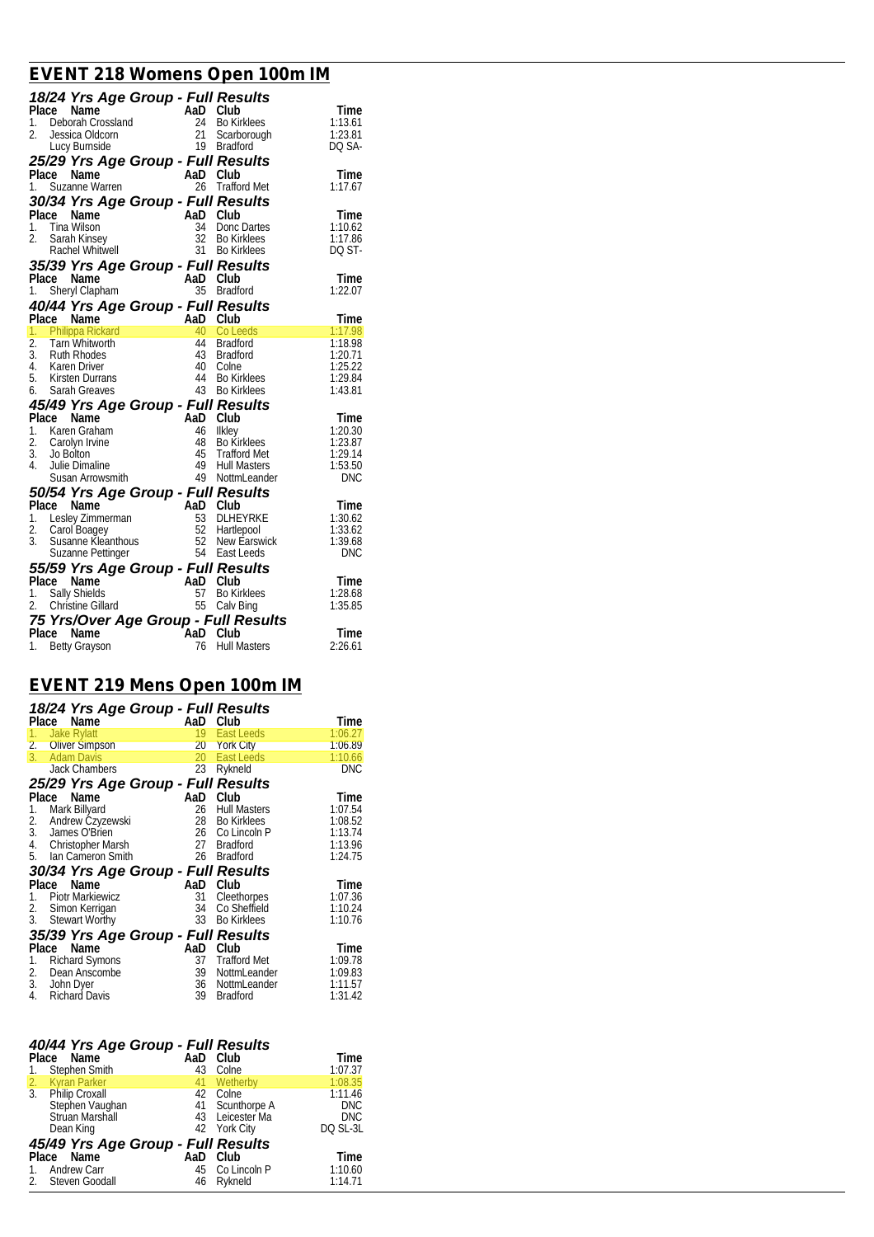## *EVENT 218 Womens Open 100m IM*

| 18/24 Yrs Age Group - Full Results<br>Place Name<br>1. Deborah Crossland<br>2. Jessica Oldcorn<br>2. Jessica Oldcorn<br>2. Lucy Burnside<br>1. Suzanne Warren<br>1. Suzanne Warren<br>1. Suzanne Warren<br>1. Suzanne Maren<br>2. Trafford Met<br>1.<br>1. Suzanne warren<br><b>30/34 Yrs Age Group - Full Results</b><br>1. Tina Wilson<br>1. Tina Wilson<br>1. Tina Wilson<br>1. Sarah Kinsey<br>1. Sarah Kinsey<br>1. Sarah Kinsey<br>1. Sarah Kinsey<br>1. Shept Clappen<br>1. Shept Clappen<br>1. Shept Cla<br>1. Siletyi Grapham Mappi Solidarist<br>1. Philippa Rickard And Colleeds<br>1. Philippa Rickard 40 Colleeds 1:17.98<br>2. Tam Whitworth 44 Bradford 1:18.98<br>3. Ruth Rhodes 43 Bradford 1:20.71<br>4. Karen Driver 40 Colne 1:25.22<br>5.<br>6. Sarah Greaves<br>45/49 Yrs Age Group - Full Results<br>Place Name<br>2. Carolyn Irvine<br>2. Carolyn Irvine<br>4. Bulle Dimaline<br>4. Julie Dimaline<br>4. Julie Dimaline<br>4. Julie Dimaline<br>4. Julie Dimaline<br>50/54 Yrs Age Group - |  |  |
|--------------------------------------------------------------------------------------------------------------------------------------------------------------------------------------------------------------------------------------------------------------------------------------------------------------------------------------------------------------------------------------------------------------------------------------------------------------------------------------------------------------------------------------------------------------------------------------------------------------------------------------------------------------------------------------------------------------------------------------------------------------------------------------------------------------------------------------------------------------------------------------------------------------------------------------------------------------------------------------------------------------------|--|--|
|                                                                                                                                                                                                                                                                                                                                                                                                                                                                                                                                                                                                                                                                                                                                                                                                                                                                                                                                                                                                                    |  |  |
|                                                                                                                                                                                                                                                                                                                                                                                                                                                                                                                                                                                                                                                                                                                                                                                                                                                                                                                                                                                                                    |  |  |
|                                                                                                                                                                                                                                                                                                                                                                                                                                                                                                                                                                                                                                                                                                                                                                                                                                                                                                                                                                                                                    |  |  |
|                                                                                                                                                                                                                                                                                                                                                                                                                                                                                                                                                                                                                                                                                                                                                                                                                                                                                                                                                                                                                    |  |  |
|                                                                                                                                                                                                                                                                                                                                                                                                                                                                                                                                                                                                                                                                                                                                                                                                                                                                                                                                                                                                                    |  |  |
|                                                                                                                                                                                                                                                                                                                                                                                                                                                                                                                                                                                                                                                                                                                                                                                                                                                                                                                                                                                                                    |  |  |
|                                                                                                                                                                                                                                                                                                                                                                                                                                                                                                                                                                                                                                                                                                                                                                                                                                                                                                                                                                                                                    |  |  |
|                                                                                                                                                                                                                                                                                                                                                                                                                                                                                                                                                                                                                                                                                                                                                                                                                                                                                                                                                                                                                    |  |  |
|                                                                                                                                                                                                                                                                                                                                                                                                                                                                                                                                                                                                                                                                                                                                                                                                                                                                                                                                                                                                                    |  |  |
|                                                                                                                                                                                                                                                                                                                                                                                                                                                                                                                                                                                                                                                                                                                                                                                                                                                                                                                                                                                                                    |  |  |
|                                                                                                                                                                                                                                                                                                                                                                                                                                                                                                                                                                                                                                                                                                                                                                                                                                                                                                                                                                                                                    |  |  |
|                                                                                                                                                                                                                                                                                                                                                                                                                                                                                                                                                                                                                                                                                                                                                                                                                                                                                                                                                                                                                    |  |  |
|                                                                                                                                                                                                                                                                                                                                                                                                                                                                                                                                                                                                                                                                                                                                                                                                                                                                                                                                                                                                                    |  |  |
|                                                                                                                                                                                                                                                                                                                                                                                                                                                                                                                                                                                                                                                                                                                                                                                                                                                                                                                                                                                                                    |  |  |
|                                                                                                                                                                                                                                                                                                                                                                                                                                                                                                                                                                                                                                                                                                                                                                                                                                                                                                                                                                                                                    |  |  |
|                                                                                                                                                                                                                                                                                                                                                                                                                                                                                                                                                                                                                                                                                                                                                                                                                                                                                                                                                                                                                    |  |  |
|                                                                                                                                                                                                                                                                                                                                                                                                                                                                                                                                                                                                                                                                                                                                                                                                                                                                                                                                                                                                                    |  |  |
|                                                                                                                                                                                                                                                                                                                                                                                                                                                                                                                                                                                                                                                                                                                                                                                                                                                                                                                                                                                                                    |  |  |
|                                                                                                                                                                                                                                                                                                                                                                                                                                                                                                                                                                                                                                                                                                                                                                                                                                                                                                                                                                                                                    |  |  |
|                                                                                                                                                                                                                                                                                                                                                                                                                                                                                                                                                                                                                                                                                                                                                                                                                                                                                                                                                                                                                    |  |  |
|                                                                                                                                                                                                                                                                                                                                                                                                                                                                                                                                                                                                                                                                                                                                                                                                                                                                                                                                                                                                                    |  |  |
|                                                                                                                                                                                                                                                                                                                                                                                                                                                                                                                                                                                                                                                                                                                                                                                                                                                                                                                                                                                                                    |  |  |
|                                                                                                                                                                                                                                                                                                                                                                                                                                                                                                                                                                                                                                                                                                                                                                                                                                                                                                                                                                                                                    |  |  |
|                                                                                                                                                                                                                                                                                                                                                                                                                                                                                                                                                                                                                                                                                                                                                                                                                                                                                                                                                                                                                    |  |  |
|                                                                                                                                                                                                                                                                                                                                                                                                                                                                                                                                                                                                                                                                                                                                                                                                                                                                                                                                                                                                                    |  |  |
|                                                                                                                                                                                                                                                                                                                                                                                                                                                                                                                                                                                                                                                                                                                                                                                                                                                                                                                                                                                                                    |  |  |
|                                                                                                                                                                                                                                                                                                                                                                                                                                                                                                                                                                                                                                                                                                                                                                                                                                                                                                                                                                                                                    |  |  |
|                                                                                                                                                                                                                                                                                                                                                                                                                                                                                                                                                                                                                                                                                                                                                                                                                                                                                                                                                                                                                    |  |  |
|                                                                                                                                                                                                                                                                                                                                                                                                                                                                                                                                                                                                                                                                                                                                                                                                                                                                                                                                                                                                                    |  |  |
|                                                                                                                                                                                                                                                                                                                                                                                                                                                                                                                                                                                                                                                                                                                                                                                                                                                                                                                                                                                                                    |  |  |
|                                                                                                                                                                                                                                                                                                                                                                                                                                                                                                                                                                                                                                                                                                                                                                                                                                                                                                                                                                                                                    |  |  |
|                                                                                                                                                                                                                                                                                                                                                                                                                                                                                                                                                                                                                                                                                                                                                                                                                                                                                                                                                                                                                    |  |  |
|                                                                                                                                                                                                                                                                                                                                                                                                                                                                                                                                                                                                                                                                                                                                                                                                                                                                                                                                                                                                                    |  |  |
|                                                                                                                                                                                                                                                                                                                                                                                                                                                                                                                                                                                                                                                                                                                                                                                                                                                                                                                                                                                                                    |  |  |
|                                                                                                                                                                                                                                                                                                                                                                                                                                                                                                                                                                                                                                                                                                                                                                                                                                                                                                                                                                                                                    |  |  |
|                                                                                                                                                                                                                                                                                                                                                                                                                                                                                                                                                                                                                                                                                                                                                                                                                                                                                                                                                                                                                    |  |  |
|                                                                                                                                                                                                                                                                                                                                                                                                                                                                                                                                                                                                                                                                                                                                                                                                                                                                                                                                                                                                                    |  |  |
|                                                                                                                                                                                                                                                                                                                                                                                                                                                                                                                                                                                                                                                                                                                                                                                                                                                                                                                                                                                                                    |  |  |
|                                                                                                                                                                                                                                                                                                                                                                                                                                                                                                                                                                                                                                                                                                                                                                                                                                                                                                                                                                                                                    |  |  |
|                                                                                                                                                                                                                                                                                                                                                                                                                                                                                                                                                                                                                                                                                                                                                                                                                                                                                                                                                                                                                    |  |  |
|                                                                                                                                                                                                                                                                                                                                                                                                                                                                                                                                                                                                                                                                                                                                                                                                                                                                                                                                                                                                                    |  |  |

### *EVENT 219 Mens Open 100m IM*

| 18/24 Yrs Age Group - Full Results |     |                     |            |
|------------------------------------|-----|---------------------|------------|
| Place<br>Name                      | AaD | Club                | Time       |
| <b>Jake Rylatt</b><br>1.           | 19  | East Leeds          | 1:06.27    |
| 2. Oliver Simpson                  | 20  | <b>York City</b>    | 1:06.89    |
| 3.<br><b>Adam Davis</b>            | 20  | East Leeds          | 1:10.66    |
| <b>Jack Chambers</b>               | 23  | Rykneld             | <b>DNC</b> |
| 25/29 Yrs Age Group - Full Results |     |                     |            |
| Place<br>Name                      | AaD | Club                | Time       |
| Mark Billyard<br>1.                | 26  | <b>Hull Masters</b> | 1:07.54    |
| 2.<br>Andrew Czyzewski             | 28  | Bo Kirklees         | 1:08.52    |
| 3.<br>James O'Brien                |     | 26 Co Lincoln P     | 1:13.74    |
| 4.<br>Christopher Marsh            |     | 27 Bradford         | 1:13.96    |
| Ian Cameron Smith<br>5.            | 26  | <b>Bradford</b>     | 1:24.75    |
| 30/34 Yrs Age Group - Full Results |     |                     |            |
| Name<br>Place                      | AaD | Club                | Time       |
| <b>Piotr Markiewicz</b><br>1.      | 31  | Cleethorpes         | 1:07.36    |
| 2.<br>Simon Kerrigan               | 34  | Co Sheffield        | 1:10.24    |
| 3.<br><b>Stewart Worthy</b>        | 33  | <b>Bo Kirklees</b>  | 1:10.76    |
| 35/39 Yrs Age Group - Full Results |     |                     |            |
| Place<br>Name                      | AaD | Club                | Time       |
| <b>Richard Symons</b><br>1.        | 37  | Trafford Met        | 1:09.78    |
| Dean Anscombe<br>2.                | 39  | NottmLeander        | 1:09.83    |
| 3.<br>John Dyer                    | 36  | NottmLeander        | 1:11.57    |
| 4.<br><b>Richard Davis</b>         | 39  | <b>Bradford</b>     | 1:31.42    |

| 40/44 Yrs Age Group - Full Results   |     |                 |            |
|--------------------------------------|-----|-----------------|------------|
| Place Name                           | AaD | Club            | Time       |
| Stephen Smith<br>1.                  | 43  | Colne           | 1:07.37    |
|                                      | 41  | Wetherby        | 1:08.35    |
| 2. Kyran Parker<br>3. Philip Croxall |     | 42 Colne        | 1:11.46    |
| Stephen Vaughan<br>Struan Marshall   |     | 41 Scunthorpe A | <b>DNC</b> |
|                                      |     | 43 Leicester Ma | <b>DNC</b> |
| Dean King                            |     | 42 York City    | DO SL-3L   |
| 45/49 Yrs Age Group - Full Results   |     |                 |            |
| Place Name                           | AaD | Club            | Time       |
| <b>Andrew Carr</b><br>$1_{\cdot}$    |     | 45 Co Lincoln P | 1:10.60    |
| 2. Steven Goodall                    | 46  | Rykneld         | 1:14.71    |